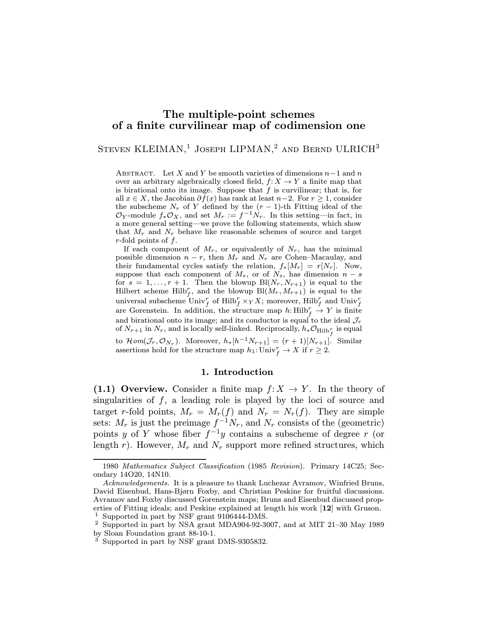# The multiple-point schemes of a finite curvilinear map of codimension one

STEVEN KLEIMAN,<sup>1</sup> JOSEPH LIPMAN,<sup>2</sup> AND BERND ULRICH<sup>3</sup>

ABSTRACT. Let X and Y be smooth varieties of dimensions  $n-1$  and n over an arbitrary algebraically closed field,  $f: X \to Y$  a finite map that is birational onto its image. Suppose that  $f$  is curvilinear; that is, for all  $x \in X$ , the Jacobian  $\partial f(x)$  has rank at least  $n-2$ . For  $r \geq 1$ , consider the subscheme  $N_r$  of Y defined by the  $(r-1)$ -th Fitting ideal of the  $\mathcal{O}_Y$ -module  $f_*\mathcal{O}_X$ , and set  $M_r := f^{-1}\mathcal{N}_r$ . In this setting—in fact, in a more general setting—we prove the following statements, which show that  $M_r$  and  $N_r$  behave like reasonable schemes of source and target r-fold points of  $f$ .

If each component of  $M_r$ , or equivalently of  $N_r$ , has the minimal possible dimension  $n - r$ , then  $M_r$  and  $N_r$  are Cohen–Macaulay, and their fundamental cycles satisfy the relation,  $f_*[M_r] = r[N_r]$ . Now, suppose that each component of  $M_s$ , or of  $N_s$ , has dimension  $n - s$ for  $s = 1, \ldots, r + 1$ . Then the blowup  $\text{Bl}(N_r, N_{r+1})$  is equal to the Hilbert scheme  $\mathrm{Hilb}_f^r$ , and the blowup  $\mathrm{Bl}(M_r,M_{r+1})$  is equal to the universal subscheme  $\text{Univ}_f^r$  of  $\text{Hilb}_f^r \times_Y X$ ; moreover,  $\text{Hilb}_f^r$  and  $\text{Univ}_f^r$ are Gorenstein. In addition, the structure map  $h: \text{Hilb}_{f}^{r} \rightarrow Y$  is finite and birational onto its image; and its conductor is equal to the ideal  $\mathcal{J}_r$ of  $N_{r+1}$  in  $N_r,$  and is locally self-linked. Reciprocally,  $h_*\mathcal{O}_{\text{Hilb}_f^r}$  is equal to  $\mathcal{H}om(\mathcal{J}_r, \mathcal{O}_{N_r})$ . Moreover,  $h_*[h^{-1}N_{r+1}]=(r+1)[N_{r+1}]$ . Similar assertions hold for the structure map  $h_1:$  Univ $f \to X$  if  $r \geq 2$ .

#### 1. Introduction

(1.1) Overview. Consider a finite map  $f: X \to Y$ . In the theory of singularities of  $f$ , a leading role is played by the loci of source and target r-fold points,  $M_r = M_r(f)$  and  $N_r = N_r(f)$ . They are simple sets:  $M_r$  is just the preimage  $f^{-1}N_r$ , and  $N_r$  consists of the (geometric) points y of Y whose fiber  $f^{-1}y$  contains a subscheme of degree r (or length r). However,  $M_r$  and  $N_r$  support more refined structures, which

<sup>1980</sup> Mathematics Subject Classification (1985 Revision). Primary 14C25; Secondary 14O20, 14N10.

Acknowledgements. It is a pleasure to thank Luchezar Avramov, Winfried Bruns, David Eisenbud, Hans-Bjørn Foxby, and Christian Peskine for fruitful discussions. Avramov and Foxby discussed Gorenstein maps; Bruns and Eisenbud discussed properties of Fitting ideals; and Peskine explained at length his work [12] with Gruson.

<sup>1</sup> Supported in part by NSF grant 9106444-DMS.

<sup>2</sup> Supported in part by NSA grant MDA904-92-3007, and at MIT 21–30 May 1989 by Sloan Foundation grant 88-10-1.

<sup>3</sup> Supported in part by NSF grant DMS-9305832.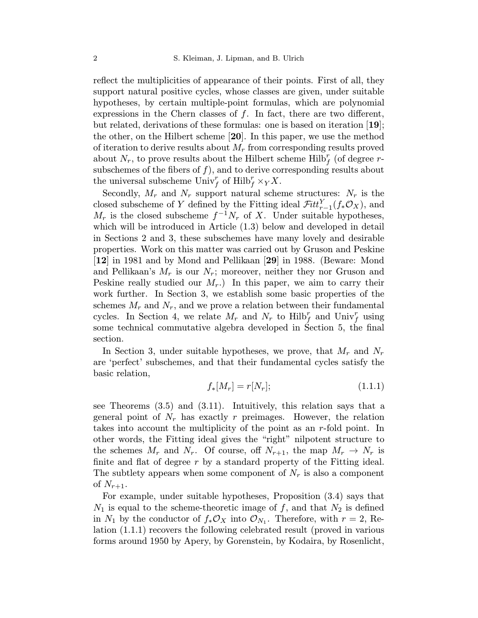reflect the multiplicities of appearance of their points. First of all, they support natural positive cycles, whose classes are given, under suitable hypotheses, by certain multiple-point formulas, which are polynomial expressions in the Chern classes of  $f$ . In fact, there are two different, but related, derivations of these formulas: one is based on iteration [19]; the other, on the Hilbert scheme [20]. In this paper, we use the method of iteration to derive results about  $M_r$  from corresponding results proved about  $N_r$ , to prove results about the Hilbert scheme Hilb $_f^r$  (of degree rsubschemes of the fibers of  $f$ , and to derive corresponding results about the universal subscheme  $\text{Univ}_f^r$  of  $\text{Hilb}_f^r \times_Y X$ .

Secondly,  $M_r$  and  $N_r$  support natural scheme structures:  $N_r$  is the closed subscheme of Y defined by the Fitting ideal  $\mathcal{F}itt_{r-1}^Y(f_*\mathcal{O}_X)$ , and  $M_r$  is the closed subscheme  $f^{-1}N_r$  of X. Under suitable hypotheses, which will be introduced in Article (1.3) below and developed in detail in Sections 2 and 3, these subschemes have many lovely and desirable properties. Work on this matter was carried out by Gruson and Peskine [12] in 1981 and by Mond and Pellikaan [29] in 1988. (Beware: Mond and Pellikaan's  $M_r$  is our  $N_r$ ; moreover, neither they nor Gruson and Peskine really studied our  $M_r$ .) In this paper, we aim to carry their work further. In Section 3, we establish some basic properties of the schemes  $M_r$  and  $N_r$ , and we prove a relation between their fundamental cycles. In Section 4, we relate  $M_r$  and  $N_r$  to  $\text{Hilb}_f^r$  and  $\text{Univ}_f^r$  using some technical commutative algebra developed in Section 5, the final section.

In Section 3, under suitable hypotheses, we prove, that  $M_r$  and  $N_r$ are 'perfect' subschemes, and that their fundamental cycles satisfy the basic relation,

$$
f_*[M_r] = r[N_r];
$$
\n(1.1.1)

see Theorems (3.5) and (3.11). Intuitively, this relation says that a general point of  $N_r$  has exactly r preimages. However, the relation takes into account the multiplicity of the point as an r-fold point. In other words, the Fitting ideal gives the "right" nilpotent structure to the schemes  $M_r$  and  $N_r$ . Of course, off  $N_{r+1}$ , the map  $M_r \to N_r$  is finite and flat of degree  $r$  by a standard property of the Fitting ideal. The subtlety appears when some component of  $N_r$  is also a component of  $N_{r+1}$ .

For example, under suitable hypotheses, Proposition (3.4) says that  $N_1$  is equal to the scheme-theoretic image of f, and that  $N_2$  is defined in  $N_1$  by the conductor of  $f_*\mathcal{O}_X$  into  $\mathcal{O}_{N_1}$ . Therefore, with  $r=2$ , Relation (1.1.1) recovers the following celebrated result (proved in various forms around 1950 by Apery, by Gorenstein, by Kodaira, by Rosenlicht,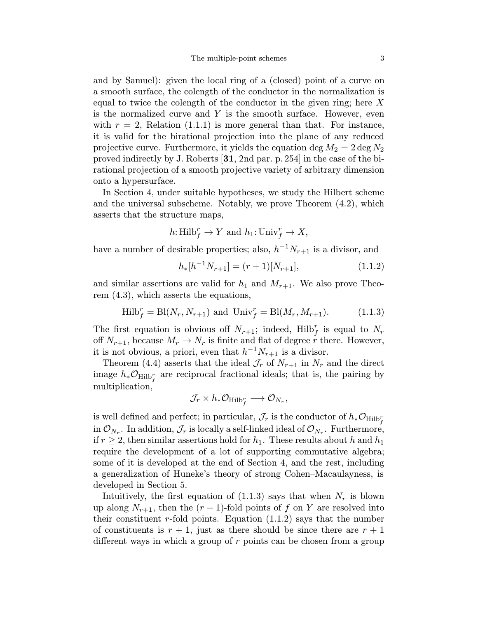and by Samuel): given the local ring of a (closed) point of a curve on a smooth surface, the colength of the conductor in the normalization is equal to twice the colength of the conductor in the given ring; here  $X$ is the normalized curve and  $Y$  is the smooth surface. However, even with  $r = 2$ , Relation (1.1.1) is more general than that. For instance, it is valid for the birational projection into the plane of any reduced projective curve. Furthermore, it yields the equation deg  $M_2 = 2 \deg N_2$ proved indirectly by J. Roberts [31, 2nd par. p.254] in the case of the birational projection of a smooth projective variety of arbitrary dimension onto a hypersurface.

In Section 4, under suitable hypotheses, we study the Hilbert scheme and the universal subscheme. Notably, we prove Theorem (4.2), which asserts that the structure maps,

$$
h: \text{Hilb}_f^r \to Y \text{ and } h_1: \text{Univ}_f^r \to X,
$$

have a number of desirable properties; also,  $h^{-1}N_{r+1}$  is a divisor, and

$$
h_*[h^{-1}N_{r+1}] = (r+1)[N_{r+1}], \qquad (1.1.2)
$$

and similar assertions are valid for  $h_1$  and  $M_{r+1}$ . We also prove Theorem (4.3), which asserts the equations,

Hilb<sup>r</sup> <sup>f</sup> = Bl(Nr, Nr+1) and Univ<sup>r</sup> <sup>f</sup> = Bl(Mr, Mr+1). (1.1.3)

The first equation is obvious off  $N_{r+1}$ ; indeed, Hilb<sup>r</sup><sub>f</sub> is equal to  $N_r$ off  $N_{r+1}$ , because  $M_r \to N_r$  is finite and flat of degree r there. However, it is not obvious, a priori, even that  $h^{-1}N_{r+1}$  is a divisor.

Theorem (4.4) asserts that the ideal  $\mathcal{J}_r$  of  $N_{r+1}$  in  $N_r$  and the direct image  $h_*\mathcal{O}_{\text{Hilb}_f^r}$  are reciprocal fractional ideals; that is, the pairing by multiplication,

$$
\mathcal{J}_r\times h_*\mathcal{O}_{\text{Hilb}_f^r}\longrightarrow \mathcal{O}_{N_r},
$$

is well defined and perfect; in particular,  $\mathcal{J}_r$  is the conductor of  $h_*\mathcal{O}_{\text{Hilb}_f^r}$ in  $\mathcal{O}_{N_r}$ . In addition,  $\mathcal{J}_r$  is locally a self-linked ideal of  $\mathcal{O}_{N_r}$ . Furthermore, if  $r \geq 2$ , then similar assertions hold for  $h_1$ . These results about h and  $h_1$ require the development of a lot of supporting commutative algebra; some of it is developed at the end of Section 4, and the rest, including a generalization of Huneke's theory of strong Cohen–Macaulayness, is developed in Section 5.

Intuitively, the first equation of  $(1.1.3)$  says that when  $N_r$  is blown up along  $N_{r+1}$ , then the  $(r+1)$ -fold points of f on Y are resolved into their constituent r-fold points. Equation  $(1.1.2)$  says that the number of constituents is  $r + 1$ , just as there should be since there are  $r + 1$ different ways in which a group of r points can be chosen from a group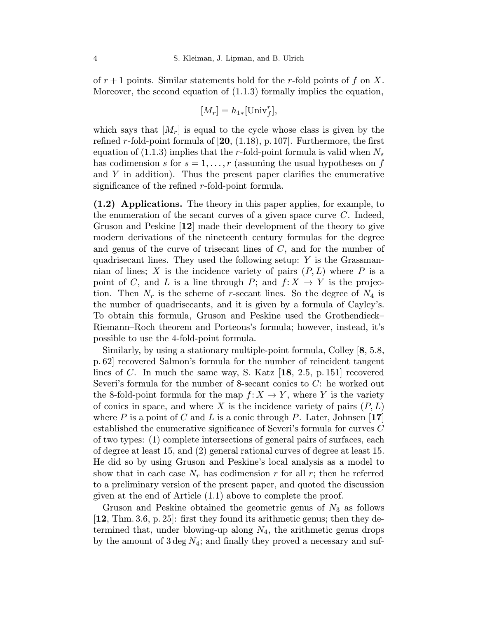of  $r+1$  points. Similar statements hold for the r-fold points of f on X. Moreover, the second equation of (1.1.3) formally implies the equation,

$$
[M_r] = h_{1*}[\text{Univ}_f^r],
$$

which says that  $[M_r]$  is equal to the cycle whose class is given by the refined r-fold-point formula of  $[20, (1.18), p. 107]$ . Furthermore, the first equation of  $(1.1.3)$  implies that the r-fold-point formula is valid when  $N_s$ has codimension s for  $s = 1, \ldots, r$  (assuming the usual hypotheses on f and Y in addition). Thus the present paper clarifies the enumerative significance of the refined r-fold-point formula.

(1.2) Applications. The theory in this paper applies, for example, to the enumeration of the secant curves of a given space curve  $C$ . Indeed, Gruson and Peskine [12] made their development of the theory to give modern derivations of the nineteenth century formulas for the degree and genus of the curve of trisecant lines of C, and for the number of quadrisecant lines. They used the following setup: Y is the Grassmannian of lines; X is the incidence variety of pairs  $(P, L)$  where P is a point of C, and L is a line through P; and  $f: X \to Y$  is the projection. Then  $N_r$  is the scheme of r-secant lines. So the degree of  $N_4$  is the number of quadrisecants, and it is given by a formula of Cayley's. To obtain this formula, Gruson and Peskine used the Grothendieck– Riemann–Roch theorem and Porteous's formula; however, instead, it's possible to use the 4-fold-point formula.

Similarly, by using a stationary multiple-point formula, Colley [8, 5.8, p.62] recovered Salmon's formula for the number of reincident tangent lines of C. In much the same way, S. Katz  $[18, 2.5, p.151]$  recovered Severi's formula for the number of 8-secant conics to C: he worked out the 8-fold-point formula for the map  $f: X \to Y$ , where Y is the variety of conics in space, and where X is the incidence variety of pairs  $(P, L)$ where P is a point of C and L is a conic through P. Later, Johnsen [17] established the enumerative significance of Severi's formula for curves C of two types: (1) complete intersections of general pairs of surfaces, each of degree at least 15, and (2) general rational curves of degree at least 15. He did so by using Gruson and Peskine's local analysis as a model to show that in each case  $N_r$  has codimension r for all r; then he referred to a preliminary version of the present paper, and quoted the discussion given at the end of Article (1.1) above to complete the proof.

Gruson and Peskine obtained the geometric genus of  $N_3$  as follows [12, Thm.3.6, p. 25]: first they found its arithmetic genus; then they determined that, under blowing-up along  $N_4$ , the arithmetic genus drops by the amount of  $3 \text{ deg } N_4$ ; and finally they proved a necessary and suf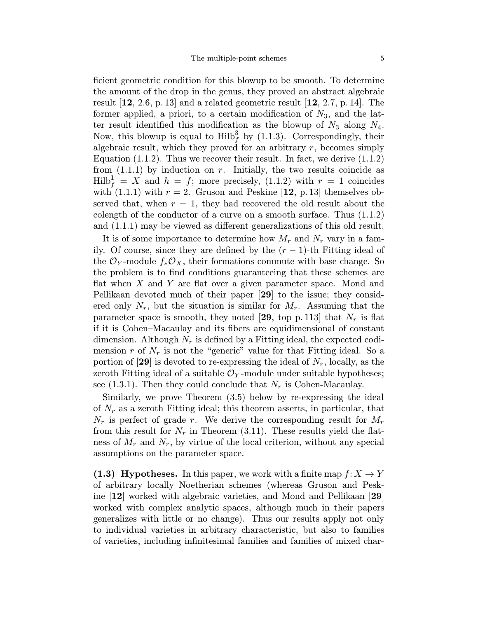ficient geometric condition for this blowup to be smooth. To determine the amount of the drop in the genus, they proved an abstract algebraic result [12, 2.6, p. 13] and a related geometric result [12, 2.7, p. 14]. The former applied, a priori, to a certain modification of  $N_3$ , and the latter result identified this modification as the blowup of  $N_3$  along  $N_4$ . Now, this blowup is equal to  $\text{Hilb}_f^3$  by (1.1.3). Correspondingly, their algebraic result, which they proved for an arbitrary  $r$ , becomes simply Equation  $(1.1.2)$ . Thus we recover their result. In fact, we derive  $(1.1.2)$ from  $(1.1.1)$  by induction on r. Initially, the two results coincide as  $\text{Hilb}_f^1 = X$  and  $h = f$ ; more precisely, (1.1.2) with  $r = 1$  coincides with  $(1.1.1)$  with  $r = 2$ . Gruson and Peskine [12, p. 13] themselves observed that, when  $r = 1$ , they had recovered the old result about the colength of the conductor of a curve on a smooth surface. Thus (1.1.2) and (1.1.1) may be viewed as different generalizations of this old result.

It is of some importance to determine how  $M_r$  and  $N_r$  vary in a family. Of course, since they are defined by the  $(r-1)$ -th Fitting ideal of the  $\mathcal{O}_Y$ -module  $f_*\mathcal{O}_X$ , their formations commute with base change. So the problem is to find conditions guaranteeing that these schemes are flat when X and Y are flat over a given parameter space. Mond and Pellikaan devoted much of their paper [29] to the issue; they considered only  $N_r$ , but the situation is similar for  $M_r$ . Assuming that the parameter space is smooth, they noted [29, top p. 113] that  $N_r$  is flat if it is Cohen–Macaulay and its fibers are equidimensional of constant dimension. Although  $N_r$  is defined by a Fitting ideal, the expected codimension r of  $N_r$  is not the "generic" value for that Fitting ideal. So a portion of  $[29]$  is devoted to re-expressing the ideal of  $N_r$ , locally, as the zeroth Fitting ideal of a suitable  $\mathcal{O}_Y$ -module under suitable hypotheses; see (1.3.1). Then they could conclude that  $N_r$  is Cohen-Macaulay.

Similarly, we prove Theorem (3.5) below by re-expressing the ideal of  $N_r$  as a zeroth Fitting ideal; this theorem asserts, in particular, that  $N_r$  is perfect of grade r. We derive the corresponding result for  $M_r$ from this result for  $N_r$  in Theorem (3.11). These results yield the flatness of  $M_r$  and  $N_r$ , by virtue of the local criterion, without any special assumptions on the parameter space.

(1.3) Hypotheses. In this paper, we work with a finite map  $f: X \to Y$ of arbitrary locally Noetherian schemes (whereas Gruson and Peskine [12] worked with algebraic varieties, and Mond and Pellikaan [29] worked with complex analytic spaces, although much in their papers generalizes with little or no change). Thus our results apply not only to individual varieties in arbitrary characteristic, but also to families of varieties, including infinitesimal families and families of mixed char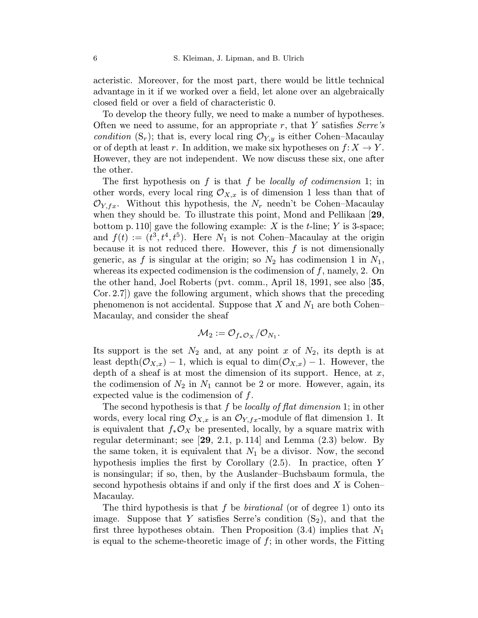acteristic. Moreover, for the most part, there would be little technical advantage in it if we worked over a field, let alone over an algebraically closed field or over a field of characteristic 0.

To develop the theory fully, we need to make a number of hypotheses. Often we need to assume, for an appropriate r, that Y satisfies Serre's condition  $(S_r)$ ; that is, every local ring  $\mathcal{O}_{Y,y}$  is either Cohen–Macaulay or of depth at least r. In addition, we make six hypotheses on  $f: X \to Y$ . However, they are not independent. We now discuss these six, one after the other.

The first hypothesis on  $f$  is that  $f$  be locally of codimension 1; in other words, every local ring  $\mathcal{O}_{X,x}$  is of dimension 1 less than that of  $\mathcal{O}_{Y,fx}$ . Without this hypothesis, the  $N_r$  needn't be Cohen–Macaulay when they should be. To illustrate this point, Mond and Pellikaan [29, bottom p. 110] gave the following example:  $X$  is the  $t$ -line;  $Y$  is 3-space; and  $f(t) := (t^3, t^4, t^5)$ . Here  $N_1$  is not Cohen-Macaulay at the origin because it is not reduced there. However, this  $f$  is not dimensionally generic, as f is singular at the origin; so  $N_2$  has codimension 1 in  $N_1$ , whereas its expected codimension is the codimension of  $f$ , namely, 2. On the other hand, Joel Roberts (pvt. comm., April 18, 1991, see also [35, Cor.2.7]) gave the following argument, which shows that the preceding phenomenon is not accidental. Suppose that  $X$  and  $N_1$  are both Cohen– Macaulay, and consider the sheaf

$$
\mathcal{M}_2 := \mathcal{O}_{f_*\mathcal{O}_X}/\mathcal{O}_{N_1}.
$$

Its support is the set  $N_2$  and, at any point x of  $N_2$ , its depth is at least depth $(\mathcal{O}_{X,x}) - 1$ , which is equal to dim $(\mathcal{O}_{X,x}) - 1$ . However, the depth of a sheaf is at most the dimension of its support. Hence, at  $x$ , the codimension of  $N_2$  in  $N_1$  cannot be 2 or more. However, again, its expected value is the codimension of f.

The second hypothesis is that  $f$  be *locally of flat dimension* 1; in other words, every local ring  $\mathcal{O}_{X,x}$  is an  $\mathcal{O}_{Y,fx}$ -module of flat dimension 1. It is equivalent that  $f_*\mathcal{O}_X$  be presented, locally, by a square matrix with regular determinant; see [29, 2.1, p. 114] and Lemma (2.3) below. By the same token, it is equivalent that  $N_1$  be a divisor. Now, the second hypothesis implies the first by Corollary (2.5). In practice, often Y is nonsingular; if so, then, by the Auslander–Buchsbaum formula, the second hypothesis obtains if and only if the first does and  $X$  is Cohen– Macaulay.

The third hypothesis is that  $f$  be *birational* (or of degree 1) onto its image. Suppose that Y satisfies Serre's condition  $(S_2)$ , and that the first three hypotheses obtain. Then Proposition  $(3.4)$  implies that  $N_1$ is equal to the scheme-theoretic image of  $f$ ; in other words, the Fitting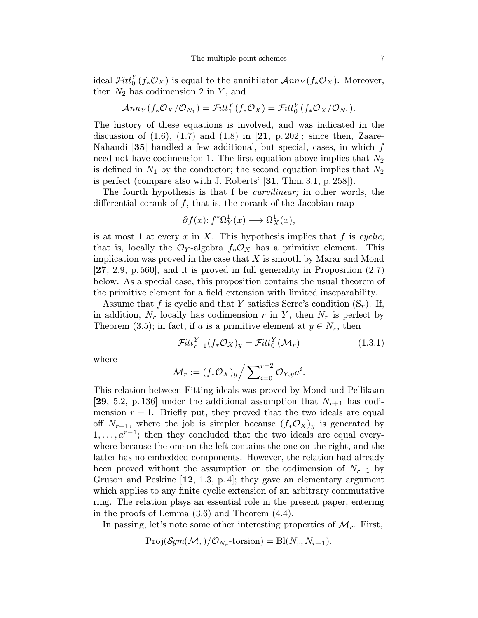ideal  $\mathcal{F}itt_0^Y(f_*\mathcal{O}_X)$  is equal to the annihilator  $\mathcal{A}nn_Y(f_*\mathcal{O}_X)$ . Moreover, then  $N_2$  has codimension 2 in Y, and

$$
\mathcal{A}nn_Y(f_*\mathcal{O}_X/\mathcal{O}_{N_1})=\mathcal{F}\mathrm{itt}_1^Y(f_*\mathcal{O}_X)=\mathcal{F}\mathrm{itt}_0^Y(f_*\mathcal{O}_X/\mathcal{O}_{N_1}).
$$

The history of these equations is involved, and was indicated in the discussion of  $(1.6)$ ,  $(1.7)$  and  $(1.8)$  in  $[21, p.202]$ ; since then, Zaare-Nahandi [35] handled a few additional, but special, cases, in which f need not have codimension 1. The first equation above implies that  $N_2$ is defined in  $N_1$  by the conductor; the second equation implies that  $N_2$ is perfect (compare also with J. Roberts' [31, Thm. 3.1, p. 258]).

The fourth hypothesis is that f be *curvilinear*; in other words, the differential corank of  $f$ , that is, the corank of the Jacobian map

$$
\partial f(x) \colon f^* \Omega^1_Y(x) \longrightarrow \Omega^1_X(x),
$$

is at most 1 at every x in X. This hypothesis implies that f is cyclic; that is, locally the  $\mathcal{O}_Y$ -algebra  $f_*\mathcal{O}_X$  has a primitive element. This implication was proved in the case that  $X$  is smooth by Marar and Mond [27, 2.9, p.560], and it is proved in full generality in Proposition (2.7) below. As a special case, this proposition contains the usual theorem of the primitive element for a field extension with limited inseparability.

Assume that f is cyclic and that Y satisfies Serre's condition  $(S_r)$ . If, in addition,  $N_r$  locally has codimension r in Y, then  $N_r$  is perfect by Theorem (3.5); in fact, if a is a primitive element at  $y \in N_r$ , then

$$
\mathcal{F}itt_{r-1}^Y(f_*\mathcal{O}_X)_y = \mathcal{F}itt_0^Y(\mathcal{M}_r)
$$
\n(1.3.1)

where

$$
\mathcal{M}_r := (f_* \mathcal{O}_X)_y / \sum_{i=0}^{r-2} \mathcal{O}_{Y,y} a^i.
$$

This relation between Fitting ideals was proved by Mond and Pellikaan [29, 5.2, p. 136] under the additional assumption that  $N_{r+1}$  has codimension  $r + 1$ . Briefly put, they proved that the two ideals are equal off  $N_{r+1}$ , where the job is simpler because  $(f_*\mathcal{O}_X)_y$  is generated by  $1,\ldots,a^{r-1}$ ; then they concluded that the two ideals are equal everywhere because the one on the left contains the one on the right, and the latter has no embedded components. However, the relation had already been proved without the assumption on the codimension of  $N_{r+1}$  by Gruson and Peskine [12, 1.3, p. 4]; they gave an elementary argument which applies to any finite cyclic extension of an arbitrary commutative ring. The relation plays an essential role in the present paper, entering in the proofs of Lemma (3.6) and Theorem (4.4).

In passing, let's note some other interesting properties of  $\mathcal{M}_r$ . First,

$$
Proj(\mathcal{Sym}(\mathcal{M}_r)/\mathcal{O}_{N_r}\text{-torsion}) = Bl(N_r, N_{r+1}).
$$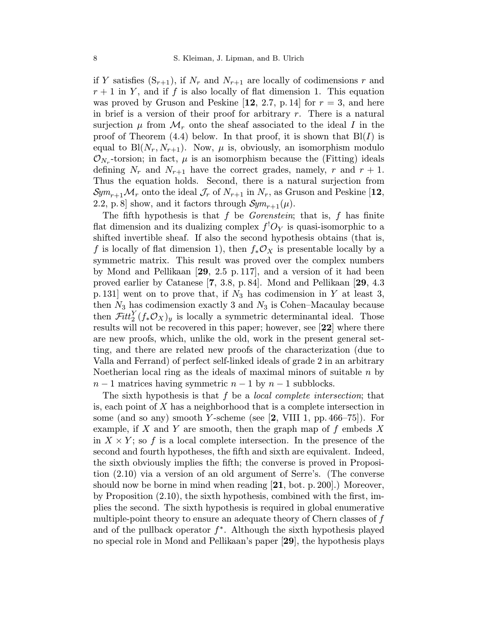if Y satisfies  $(S_{r+1})$ , if  $N_r$  and  $N_{r+1}$  are locally of codimensions r and  $r+1$  in Y, and if f is also locally of flat dimension 1. This equation was proved by Gruson and Peskine  $\left[12, 2.7, p. 14\right]$  for  $r = 3$ , and here in brief is a version of their proof for arbitrary  $r$ . There is a natural surjection  $\mu$  from  $\mathcal{M}_r$  onto the sheaf associated to the ideal I in the proof of Theorem (4.4) below. In that proof, it is shown that  $B(f)$  is equal to  $Bl(N_r, N_{r+1})$ . Now,  $\mu$  is, obviously, an isomorphism modulo  $\mathcal{O}_{N_r}$ -torsion; in fact,  $\mu$  is an isomorphism because the (Fitting) ideals defining  $N_r$  and  $N_{r+1}$  have the correct grades, namely, r and  $r + 1$ . Thus the equation holds. Second, there is a natural surjection from  $Sym_{r+1} \mathcal{M}_r$  onto the ideal  $\mathcal{J}_r$  of  $N_{r+1}$  in  $N_r$ , as Gruson and Peskine [12, 2.2, p. 8 show, and it factors through  $\mathcal{S}ym_{r+1}(\mu)$ .

The fifth hypothesis is that f be *Gorenstein*; that is, f has finite flat dimension and its dualizing complex  $f^{!}O_Y$  is quasi-isomorphic to a shifted invertible sheaf. If also the second hypothesis obtains (that is, f is locally of flat dimension 1), then  $f_*\mathcal{O}_X$  is presentable locally by a symmetric matrix. This result was proved over the complex numbers by Mond and Pellikaan [29, 2.5 p. 117], and a version of it had been proved earlier by Catanese [7, 3.8, p. 84]. Mond and Pellikaan [29, 4.3 p. 131] went on to prove that, if  $N_3$  has codimension in Y at least 3, then  $N_3$  has codimension exactly 3 and  $N_3$  is Cohen–Macaulay because then  $\mathcal{F}itt_2^Y(f_*\mathcal{O}_X)_y$  is locally a symmetric determinantal ideal. Those results will not be recovered in this paper; however, see [22] where there are new proofs, which, unlike the old, work in the present general setting, and there are related new proofs of the characterization (due to Valla and Ferrand) of perfect self-linked ideals of grade 2 in an arbitrary Noetherian local ring as the ideals of maximal minors of suitable  $n$  by  $n-1$  matrices having symmetric  $n-1$  by  $n-1$  subblocks.

The sixth hypothesis is that f be a *local complete intersection*; that is, each point of X has a neighborhood that is a complete intersection in some (and so any) smooth Y-scheme (see  $[2, VIII 1, pp. 466-75]$ ). For example, if X and Y are smooth, then the graph map of  $f$  embeds X in  $X \times Y$ ; so f is a local complete intersection. In the presence of the second and fourth hypotheses, the fifth and sixth are equivalent. Indeed, the sixth obviously implies the fifth; the converse is proved in Proposition (2.10) via a version of an old argument of Serre's. (The converse should now be borne in mind when reading [21, bot. p. 200].) Moreover, by Proposition (2.10), the sixth hypothesis, combined with the first, implies the second. The sixth hypothesis is required in global enumerative multiple-point theory to ensure an adequate theory of Chern classes of  $f$ and of the pullback operator  $f^*$ . Although the sixth hypothesis played no special role in Mond and Pellikaan's paper [29], the hypothesis plays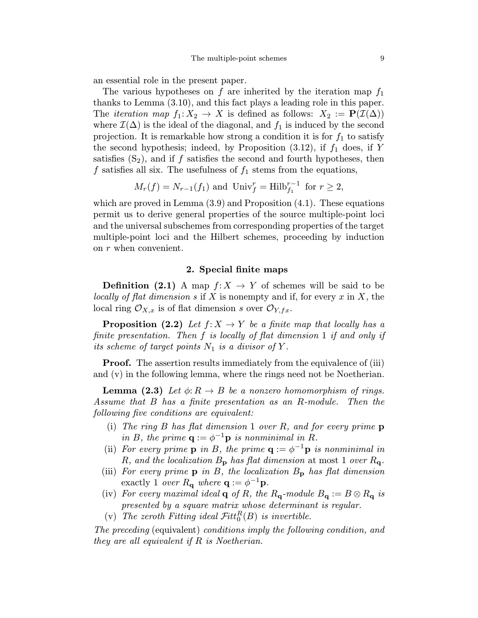an essential role in the present paper.

The various hypotheses on f are inherited by the iteration map  $f_1$ thanks to Lemma (3.10), and this fact plays a leading role in this paper. The *iteration map*  $f_1: X_2 \to X$  is defined as follows:  $X_2 := \mathbf{P}(\mathcal{I}(\Delta))$ where  $\mathcal{I}(\Delta)$  is the ideal of the diagonal, and  $f_1$  is induced by the second projection. It is remarkable how strong a condition it is for  $f_1$  to satisfy the second hypothesis; indeed, by Proposition  $(3.12)$ , if  $f_1$  does, if Y satisfies  $(S_2)$ , and if f satisfies the second and fourth hypotheses, then f satisfies all six. The usefulness of  $f_1$  stems from the equations,

$$
M_r(f) = N_{r-1}(f_1)
$$
 and  $Univ_f^r = Hilb_{f_1}^{r-1}$  for  $r \ge 2$ ,

which are proved in Lemma  $(3.9)$  and Proposition  $(4.1)$ . These equations permit us to derive general properties of the source multiple-point loci and the universal subschemes from corresponding properties of the target multiple-point loci and the Hilbert schemes, proceeding by induction on r when convenient.

## 2. Special finite maps

**Definition** (2.1) A map  $f: X \to Y$  of schemes will be said to be locally of flat dimension s if X is nonempty and if, for every x in X, the local ring  $\mathcal{O}_{X,x}$  is of flat dimension s over  $\mathcal{O}_{Y,fx}$ .

**Proposition (2.2)** Let  $f: X \to Y$  be a finite map that locally has a finite presentation. Then f is locally of flat dimension 1 if and only if its scheme of target points  $N_1$  is a divisor of Y.

**Proof.** The assertion results immediately from the equivalence of (iii) and (v) in the following lemma, where the rings need not be Noetherian.

**Lemma (2.3)** Let  $\phi: R \to B$  be a nonzero homomorphism of rings. Assume that B has a finite presentation as an R-module. Then the following five conditions are equivalent:

- (i) The ring B has flat dimension 1 over R, and for every prime  $p$ in B, the prime  $\mathbf{q} := \phi^{-1} \mathbf{p}$  is nonminimal in R.
- (ii) For every prime **p** in B, the prime  $\mathbf{q} := \phi^{-1} \mathbf{p}$  is nonminimal in R, and the localization  $B_p$  has flat dimension at most 1 over  $R_q$ .
- (iii) For every prime  $\bf{p}$  in B, the localization  $B_{\bf{p}}$  has flat dimension exactly 1 over  $R_{\mathbf{q}}$  where  $\mathbf{q} := \phi^{-1} \mathbf{p}$ .
- (iv) For every maximal ideal **q** of R, the R<sub>q</sub>-module  $B_q := B \otimes R_q$  is presented by a square matrix whose determinant is regular.
- (v) The zeroth Fitting ideal  $Fitt_0^R(B)$  is invertible.

The preceding (equivalent) conditions imply the following condition, and they are all equivalent if R is Noetherian.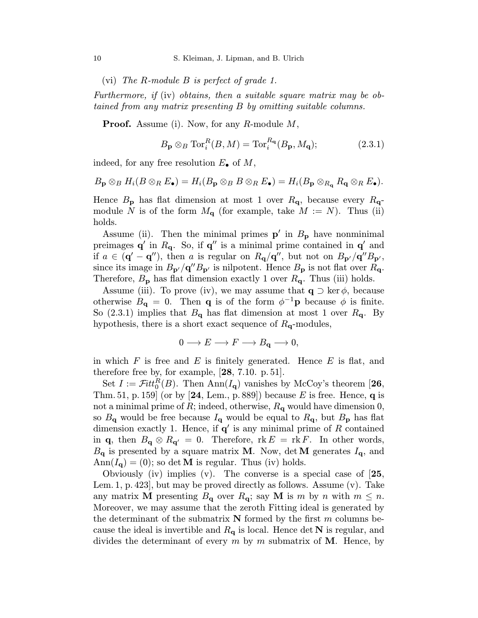(vi) The R-module B is perfect of grade 1.

Furthermore, if (iv) obtains, then a suitable square matrix may be obtained from any matrix presenting B by omitting suitable columns.

**Proof.** Assume (i). Now, for any R-module M,

$$
B_{\mathbf{p}} \otimes_B \operatorname{Tor}_i^R(B, M) = \operatorname{Tor}_i^{R_{\mathbf{q}}}(B_{\mathbf{p}}, M_{\mathbf{q}}); \tag{2.3.1}
$$

indeed, for any free resolution  $E_{\bullet}$  of  $M$ ,

 $B_{\mathbf{p}} \otimes_B H_i(B \otimes_R E_{\bullet}) = H_i(B_{\mathbf{p}} \otimes_B B \otimes_R E_{\bullet}) = H_i(B_{\mathbf{p}} \otimes_{R_{\bullet}} R_{\bullet} \otimes_R E_{\bullet}).$ 

Hence  $B_{\mathbf{p}}$  has flat dimension at most 1 over  $R_{\mathbf{q}}$ , because every  $R_{\mathbf{q}}$ module N is of the form  $M_{\mathbf{q}}$  (for example, take  $M := N$ ). Thus (ii) holds.

Assume (ii). Then the minimal primes  $p'$  in  $B_p$  have nonminimal preimages  $\mathbf{q}'$  in  $R_{\mathbf{q}}$ . So, if  $\mathbf{q}''$  is a minimal prime contained in  $\mathbf{q}'$  and if  $a \in (\mathbf{q}' - \mathbf{q}'')$ , then a is regular on  $R_{\mathbf{q}}/\mathbf{q}''$ , but not on  $B_{\mathbf{p}'}/\mathbf{q}''B_{\mathbf{p}'},$ since its image in  $B_{\mathbf{p}'} / \mathbf{q}'' B_{\mathbf{p}'}$  is nilpotent. Hence  $B_{\mathbf{p}}$  is not flat over  $R_{\mathbf{q}}$ . Therefore,  $B_p$  has flat dimension exactly 1 over  $R_q$ . Thus (iii) holds.

Assume (iii). To prove (iv), we may assume that  $q \supset \ker \phi$ , because otherwise  $B_{q} = 0$ . Then q is of the form  $\phi^{-1}p$  because  $\phi$  is finite. So (2.3.1) implies that  $B_{q}$  has flat dimension at most 1 over  $R_{q}$ . By hypothesis, there is a short exact sequence of  $R_{q}$ -modules,

$$
0 \longrightarrow E \longrightarrow F \longrightarrow B_{\mathbf{q}} \longrightarrow 0,
$$

in which  $F$  is free and  $E$  is finitely generated. Hence  $E$  is flat, and therefore free by, for example, [28, 7.10. p.51].

Set  $I := \mathcal{F}itt_0^R(B)$ . Then  $\text{Ann}(I_{\mathbf{q}})$  vanishes by McCoy's theorem [26, Thm. 51, p. 159 (or by  $[24, \text{ Lem.}, p. 889]$ ) because E is free. Hence, q is not a minimal prime of R; indeed, otherwise,  $R_{q}$  would have dimension 0, so  $B_{\mathbf{q}}$  would be free because  $I_{\mathbf{q}}$  would be equal to  $R_{\mathbf{q}}$ , but  $B_{\mathbf{p}}$  has flat dimension exactly 1. Hence, if  $q'$  is any minimal prime of R contained in q, then  $B_{\mathbf{q}} \otimes R_{\mathbf{q}'} = 0$ . Therefore, rk  $E = \text{rk } F$ . In other words,  $B_{q}$  is presented by a square matrix M. Now, det M generates  $I_{q}$ , and  $\text{Ann}(I_{\mathbf{q}}) = (0)$ ; so det **M** is regular. Thus (iv) holds.

Obviously (iv) implies (v). The converse is a special case of  $[25,$ Lem. 1, p. 423], but may be proved directly as follows. Assume (v). Take any matrix **M** presenting  $B_{q}$  over  $R_{q}$ ; say **M** is m by n with  $m \leq n$ . Moreover, we may assume that the zeroth Fitting ideal is generated by the determinant of the submatrix  $N$  formed by the first m columns because the ideal is invertible and  $R_{q}$  is local. Hence det N is regular, and divides the determinant of every m by m submatrix of M. Hence, by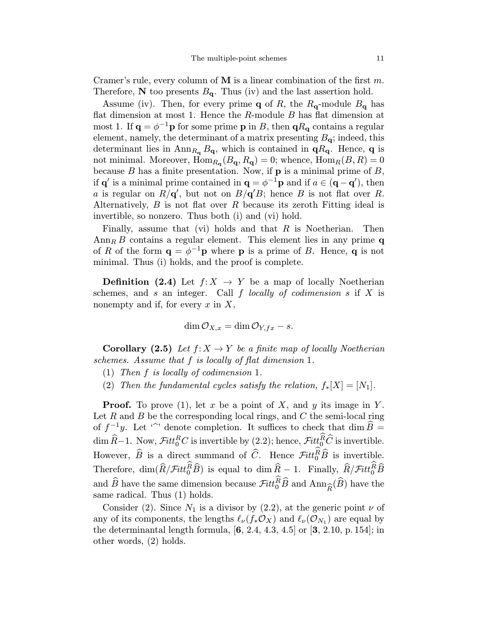Cramer's rule, every column of M is a linear combination of the first  $m$ . Therefore, N too presents  $B_{q}$ . Thus (iv) and the last assertion hold.

Assume (iv). Then, for every prime **q** of R, the  $R_{q}$ -module  $B_{q}$  has flat dimension at most 1. Hence the  $R$ -module  $B$  has flat dimension at most 1. If  $\mathbf{q} = \phi^{-1} \mathbf{p}$  for some prime  $\mathbf{p}$  in B, then  $\mathbf{q}R_{\mathbf{q}}$  contains a regular element, namely, the determinant of a matrix presenting  $B_{q}$ ; indeed, this determinant lies in Ann<sub>R<sub>q</sub></sub> B<sub>q</sub>, which is contained in  $qR_q$ . Hence, q is not minimal. Moreover,  $\text{Hom}_{R_{q}}(B_{q}, R_{q})=0$ ; whence,  $\text{Hom}_{R}(B, R)=0$ because B has a finite presentation. Now, if  $\bf{p}$  is a minimal prime of  $B$ , if  $\mathbf{q}'$  is a minimal prime contained in  $\mathbf{q} = \phi^{-1} \mathbf{p}$  and if  $a \in (\mathbf{q} - \mathbf{q}')$ , then a is regular on  $R/\mathbf{q}'$ , but not on  $B/\mathbf{q}'B$ ; hence B is not flat over R. Alternatively,  $B$  is not flat over  $R$  because its zeroth Fitting ideal is invertible, so nonzero. Thus both (i) and (vi) hold.

Finally, assume that (vi) holds and that  $R$  is Noetherian. Then  $\text{Ann}_{R} B$  contains a regular element. This element lies in any prime q of R of the form  $\mathbf{q} = \phi^{-1} \mathbf{p}$  where p is a prime of B. Hence, q is not minimal. Thus (i) holds, and the proof is complete.

**Definition** (2.4) Let  $f: X \rightarrow Y$  be a map of locally Noetherian schemes, and s an integer. Call f locally of codimension s if  $X$  is nonempty and if, for every  $x$  in  $X$ ,

$$
\dim \mathcal{O}_{X,x} = \dim \mathcal{O}_{Y,fx} - s.
$$

**Corollary (2.5)** Let  $f: X \to Y$  be a finite map of locally Noetherian schemes. Assume that f is locally of flat dimension 1.

- (1) Then f is locally of codimension 1.
- (2) Then the fundamental cycles satisfy the relation,  $f_*[X]=[N_1]$ .

**Proof.** To prove (1), let x be a point of X, and y its image in Y. Let  $R$  and  $B$  be the corresponding local rings, and  $C$  the semi-local ring of  $f^{-1}y$ . Let '<sup>o</sup>' denote completion. It suffices to check that dim  $\widehat{B} =$  $\dim \widehat{R}-1$ . Now,  $\mathcal{F}\textit{itt}_0^RC$  is invertible by  $(2.2)$ ; hence,  $\mathcal{F}\textit{itt}_0^RC$  is invertible. However,  $\widehat{B}$  is a direct summand of  $\widehat{C}$ . Hence  $\mathcal{F}itt_0^R\widehat{B}$  is invertible. Therefore,  $\dim(\widehat R/\mathcal Fitt_0^R\widehat B)$  is equal to  $\dim\widehat R-1$ . Finally,  $\widehat R/\mathcal Fitt_0^R\widehat B$ and  $\widehat{B}$  have the same dimension because  $\mathcal{F}itt_0^R\widehat{B}$  and  $\text{Ann}_{\widehat{R}}(\widehat{B})$  have the same radical. Thus (1) holds. same radical. Thus (1) holds.

Consider (2). Since  $N_1$  is a divisor by (2.2), at the generic point  $\nu$  of any of its components, the lengths  $\ell_{\nu}(f_*\mathcal{O}_X)$  and  $\ell_{\nu}(\mathcal{O}_{N_1})$  are equal by the determinantal length formula,  $[6, 2.4, 4.3, 4.5]$  or  $[3, 2.10, p. 154]$ ; in other words, (2) holds.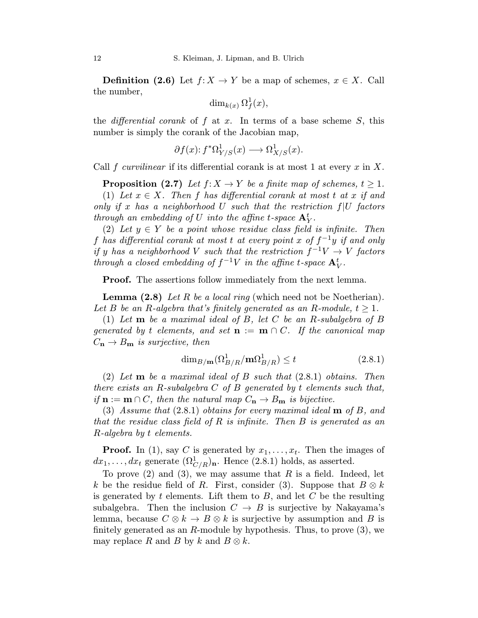**Definition (2.6)** Let  $f: X \to Y$  be a map of schemes,  $x \in X$ . Call the number,

$$
\dim_{k(x)} \Omega_f^1(x),
$$

the *differential corank* of f at x. In terms of a base scheme  $S$ , this number is simply the corank of the Jacobian map,

$$
\partial f(x) \colon f^* \Omega^1_{Y/S}(x) \longrightarrow \Omega^1_{X/S}(x).
$$

Call f curvilinear if its differential corank is at most 1 at every  $x$  in  $X$ .

**Proposition (2.7)** Let  $f: X \to Y$  be a finite map of schemes,  $t \geq 1$ . (1) Let  $x \in X$ . Then f has differential corank at most t at x if and only if x has a neighborhood U such that the restriction  $f|U$  factors through an embedding of U into the affine t-space  ${\bf A}_Y^t$ .

(2) Let  $y \in Y$  be a point whose residue class field is infinite. Then f has differential corank at most t at every point x of  $f^{-1}y$  if and only if y has a neighborhood V such that the restriction  $f^{-1}V \rightarrow V$  factors through a closed embedding of  $f^{-1}V$  in the affine t-space  ${\bf A}^t_V$ .

**Proof.** The assertions follow immediately from the next lemma.

**Lemma (2.8)** Let R be a local ring (which need not be Noetherian). Let B be an R-algebra that's finitely generated as an R-module,  $t \geq 1$ .

(1) Let m be a maximal ideal of B, let C be an R-subalgebra of B generated by t elements, and set  $\mathbf{n} := \mathbf{m} \cap C$ . If the canonical map  $C_{\bf n} \rightarrow B_{\bf m}$  is surjective, then

$$
\dim_{B/\mathbf{m}}(\Omega^1_{B/R}/\mathbf{m}\Omega^1_{B/R}) \le t \tag{2.8.1}
$$

 $(2)$  Let **m** be a maximal ideal of B such that  $(2.8.1)$  obtains. Then there exists an R-subalgebra  $C$  of  $B$  generated by t elements such that, if  $\mathbf{n} := \mathbf{m} \cap C$ , then the natural map  $C_{\mathbf{n}} \to B_{\mathbf{m}}$  is bijective.

(3) Assume that  $(2.8.1)$  obtains for every maximal ideal  $\mathbf{m}$  of  $B$ , and that the residue class field of R is infinite. Then B is generated as an R-algebra by t elements.

**Proof.** In (1), say C is generated by  $x_1, \ldots, x_t$ . Then the images of  $dx_1, \ldots, dx_t$  generate  $(\Omega_{C/R}^1)_n$ . Hence (2.8.1) holds, as asserted.

To prove  $(2)$  and  $(3)$ , we may assume that R is a field. Indeed, let k be the residue field of R. First, consider (3). Suppose that  $B \otimes k$ is generated by t elements. Lift them to  $B$ , and let  $C$  be the resulting subalgebra. Then the inclusion  $C \rightarrow B$  is surjective by Nakayama's lemma, because  $C \otimes k \to B \otimes k$  is surjective by assumption and B is finitely generated as an  $R$ -module by hypothesis. Thus, to prove  $(3)$ , we may replace R and B by k and  $B \otimes k$ .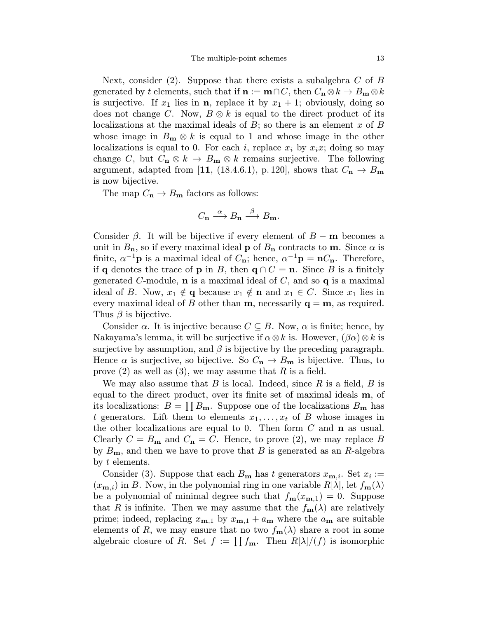Next, consider (2). Suppose that there exists a subalgebra  $C$  of  $B$ generated by t elements, such that if  $\mathbf{n} := \mathbf{m} \cap C$ , then  $C_{\mathbf{n}} \otimes k \to B_{\mathbf{m}} \otimes k$ is surjective. If  $x_1$  lies in **n**, replace it by  $x_1 + 1$ ; obviously, doing so does not change C. Now,  $B \otimes k$  is equal to the direct product of its localizations at the maximal ideals of  $B$ ; so there is an element x of  $B$ whose image in  $B_{\mathbf{m}} \otimes k$  is equal to 1 and whose image in the other localizations is equal to 0. For each i, replace  $x_i$  by  $x_ix$ ; doing so may change C, but  $C_n \otimes k \to B_m \otimes k$  remains surjective. The following argument, adapted from [11, (18.4.6.1), p. 120], shows that  $C_{\mathbf{n}} \to B_{\mathbf{m}}$ is now bijective.

The map  $C_{\mathbf{n}} \to B_{\mathbf{m}}$  factors as follows:

$$
C_{\mathbf{n}} \xrightarrow{\alpha} B_{\mathbf{n}} \xrightarrow{\beta} B_{\mathbf{m}}.
$$

Consider  $\beta$ . It will be bijective if every element of  $B - m$  becomes a unit in  $B_n$ , so if every maximal ideal **p** of  $B_n$  contracts to **m**. Since  $\alpha$  is finite,  $\alpha^{-1}$ **p** is a maximal ideal of  $C_n$ ; hence,  $\alpha^{-1}$ **p** = **n** $C_n$ . Therefore, if q denotes the trace of p in B, then  $q \cap C = n$ . Since B is a finitely generated C-module,  $\bf{n}$  is a maximal ideal of C, and so  $\bf{q}$  is a maximal ideal of B. Now,  $x_1 \notin \mathbf{q}$  because  $x_1 \notin \mathbf{n}$  and  $x_1 \in C$ . Since  $x_1$  lies in every maximal ideal of B other than  $m$ , necessarily  $q = m$ , as required. Thus  $\beta$  is bijective.

Consider  $\alpha$ . It is injective because  $C \subseteq B$ . Now,  $\alpha$  is finite; hence, by Nakayama's lemma, it will be surjective if  $\alpha \otimes k$  is. However,  $(\beta \alpha) \otimes k$  is surjective by assumption, and  $\beta$  is bijective by the preceding paragraph. Hence  $\alpha$  is surjective, so bijective. So  $C_{\mathbf{n}} \to B_{\mathbf{m}}$  is bijective. Thus, to prove  $(2)$  as well as  $(3)$ , we may assume that R is a field.

We may also assume that B is local. Indeed, since R is a field, B is equal to the direct product, over its finite set of maximal ideals m, of its localizations:  $B = \prod_{m} B_m$ . Suppose one of the localizations  $B_m$  has t generators. Lift them to elements  $x_1, \ldots, x_t$  of B whose images in the other localizations are equal to 0. Then form  $C$  and  $n$  as usual. Clearly  $C = B_{\mathbf{m}}$  and  $C_{\mathbf{n}} = C$ . Hence, to prove (2), we may replace B by  $B_{\mathbf{m}}$ , and then we have to prove that B is generated as an R-algebra by t elements.

Consider (3). Suppose that each  $B_{\mathbf{m}}$  has t generators  $x_{\mathbf{m},i}$ . Set  $x_i :=$  $(x_{\mathbf{m},i})$  in B. Now, in the polynomial ring in one variable  $R[\lambda]$ , let  $f_{\mathbf{m}}(\lambda)$ be a polynomial of minimal degree such that  $f_{\mathbf{m}}(x_{\mathbf{m},1}) = 0$ . Suppose that R is infinite. Then we may assume that the  $f_{\mathbf{m}}(\lambda)$  are relatively prime; indeed, replacing  $x_{m,1}$  by  $x_{m,1} + a_m$  where the  $a_m$  are suitable elements of R, we may ensure that no two  $f_{\mathbf{m}}(\lambda)$  share a root in some algebraic closure of R. Set  $f := \prod f_m$ . Then  $R[\lambda]/(f)$  is isomorphic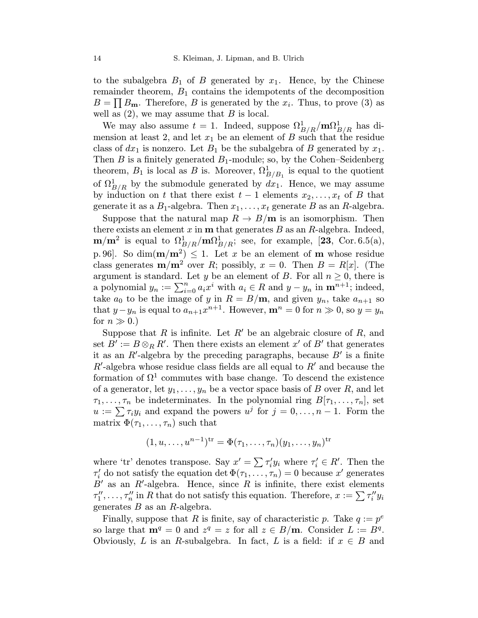to the subalgebra  $B_1$  of B generated by  $x_1$ . Hence, by the Chinese remainder theorem,  $B_1$  contains the idempotents of the decomposition  $B = \prod B_{\rm m}$ . Therefore, B is generated by the  $x_i$ . Thus, to prove (3) as well as  $(2)$ , we may assume that B is local.

We may also assume  $t = 1$ . Indeed, suppose  $\Omega^1_{B/R}/m\Omega^1_{B/R}$  has dimension at least 2, and let  $x_1$  be an element of B such that the residue class of  $dx_1$  is nonzero. Let  $B_1$  be the subalgebra of B generated by  $x_1$ . Then  $B$  is a finitely generated  $B_1$ -module; so, by the Cohen–Seidenberg theorem,  $B_1$  is local as B is. Moreover,  $\Omega^1_{B/B_1}$  is equal to the quotient of  $\Omega_{B/R}^1$  by the submodule generated by  $dx_1$ . Hence, we may assume by induction on t that there exist  $t-1$  elements  $x_2,\ldots,x_t$  of B that generate it as a  $B_1$ -algebra. Then  $x_1, \ldots, x_t$  generate B as an R-algebra.

Suppose that the natural map  $R \to B/\mathbf{m}$  is an isomorphism. Then there exists an element  $x$  in  $m$  that generates  $B$  as an  $R$ -algebra. Indeed,  $\mathbf{m}/\mathbf{m}^2$  is equal to  $\Omega^1_{B/R}/\mathbf{m}\Omega^1_{B/R}$ ; see, for example, [23, Cor. 6.5(a), p.96. So dim $(m/m^2) \leq 1$ . Let x be an element of m whose residue class generates  $\mathbf{m}/\mathbf{m}^2$  over R; possibly,  $x = 0$ . Then  $B = R[x]$ . (The argument is standard. Let y be an element of B. For all  $n \geq 0$ , there is a polynomial  $y_n := \sum_{i=0}^n a_i x^i$  with  $a_i \in R$  and  $y - y_n$  in  $\mathbf{m}^{n+1}$ ; indeed, take  $a_0$  to be the image of y in  $R = B/m$ , and given  $y_n$ , take  $a_{n+1}$  so that  $y-y_n$  is equal to  $a_{n+1}x^{n+1}$ . However,  $\mathbf{m}^n = 0$  for  $n \gg 0$ , so  $y = y_n$ for  $n \gg 0.$ 

Suppose that R is infinite. Let  $R'$  be an algebraic closure of R, and set  $B' := B \otimes_R R'$ . Then there exists an element  $x'$  of  $B'$  that generates it as an  $R'$ -algebra by the preceding paragraphs, because  $B'$  is a finite  $R'$ -algebra whose residue class fields are all equal to  $R'$  and because the formation of  $\Omega^1$  commutes with base change. To descend the existence of a generator, let  $y_1, \ldots, y_n$  be a vector space basis of B over R, and let  $\tau_1,\ldots,\tau_n$  be indeterminates. In the polynomial ring  $B[\tau_1,\ldots,\tau_n]$ , set  $u := \sum \tau_i y_i$  and expand the powers  $u^j$  for  $j = 0, \ldots, n-1$ . Form the matrix  $\Phi(\tau_1,\ldots,\tau_n)$  such that

$$
(1, u, \ldots, u^{n-1})^{\mathrm{tr}} = \Phi(\tau_1, \ldots, \tau_n)(y_1, \ldots, y_n)^{\mathrm{tr}}
$$

where 'tr' denotes transpose. Say  $x' = \sum \tau'_i y_i$  where  $\tau'_i \in R'$ . Then the  $\tau'_{i}$  do not satisfy the equation det  $\Phi(\tau_1,\ldots,\tau_n) = 0$  because  $x'$  generates  $B'$  as an R'-algebra. Hence, since R is infinite, there exist elements  $\tau''_1, \ldots, \tau''_n$  in R that do not satisfy this equation. Therefore,  $x := \sum \tau''_i y_i$ generates  $B$  as an  $R$ -algebra.

Finally, suppose that R is finite, say of characteristic p. Take  $q := p^e$ so large that  $\mathbf{m}^q = 0$  and  $z^q = z$  for all  $z \in B/\mathbf{m}$ . Consider  $L := B^q$ . Obviously, L is an R-subalgebra. In fact, L is a field: if  $x \in B$  and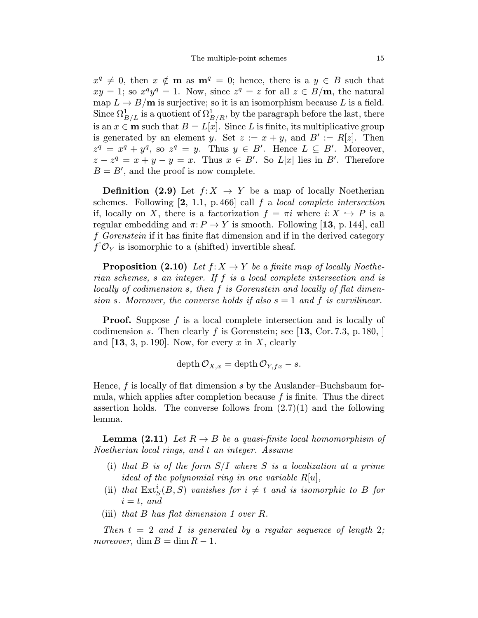$x^q \neq 0$ , then  $x \notin \mathbf{m}$  as  $\mathbf{m}^q = 0$ ; hence, there is a  $y \in B$  such that  $xy = 1$ ; so  $x^q y^q = 1$ . Now, since  $z^q = z$  for all  $z \in B/m$ , the natural map  $L \to B/\mathbf{m}$  is surjective; so it is an isomorphism because L is a field. Since  $\Omega^1_{B/L}$  is a quotient of  $\Omega^1_{B/R}$ , by the paragraph before the last, there is an  $x \in \mathbf{m}$  such that  $B = L[x]$ . Since L is finite, its multiplicative group is generated by an element y. Set  $z := x + y$ , and  $B' := R[z]$ . Then  $z^q = x^q + y^q$ , so  $z^q = y$ . Thus  $y \in B'$ . Hence  $L \subseteq B'$ . Moreover,  $z - z^q = x + y - y = x$ . Thus  $x \in B'$ . So  $L[x]$  lies in B'. Therefore  $B = B'$ , and the proof is now complete.

**Definition** (2.9) Let  $f: X \rightarrow Y$  be a map of locally Noetherian schemes. Following  $[2, 1.1, p.466]$  call f a local complete intersection if, locally on X, there is a factorization  $f = \pi i$  where  $i: X \hookrightarrow P$  is a regular embedding and  $\pi: P \to Y$  is smooth. Following [13, p. 144], call f Gorenstein if it has finite flat dimension and if in the derived category  $f^{!}\mathcal{O}_Y$  is isomorphic to a (shifted) invertible sheaf.

**Proposition (2.10)** Let  $f: X \to Y$  be a finite map of locally Noetherian schemes, s an integer. If f is a local complete intersection and is locally of codimension s, then f is Gorenstein and locally of flat dimension s. Moreover, the converse holds if also  $s = 1$  and f is curvilinear.

**Proof.** Suppose f is a local complete intersection and is locally of codimension s. Then clearly f is Gorenstein; see [13, Cor. 7.3, p. 180, ] and  $[13, 3, p. 190]$ . Now, for every x in X, clearly

$$
\operatorname{depth} \mathcal{O}_{X,x} = \operatorname{depth} \mathcal{O}_{Y,fx} - s.
$$

Hence,  $f$  is locally of flat dimension  $s$  by the Auslander–Buchsbaum formula, which applies after completion because  $f$  is finite. Thus the direct assertion holds. The converse follows from  $(2.7)(1)$  and the following lemma.

**Lemma (2.11)** Let  $R \to B$  be a quasi-finite local homomorphism of Noetherian local rings, and t an integer. Assume

- (i) that  $B$  is of the form  $S/I$  where  $S$  is a localization at a prime *ideal of the polynomial ring in one variable*  $R[u]$ ,
- (ii) that  $\text{Ext}^i_S(B, S)$  vanishes for  $i \neq t$  and is isomorphic to B for  $i = t$ , and
- (iii) that  $B$  has flat dimension 1 over  $R$ .

Then  $t = 2$  and I is generated by a regular sequence of length 2; moreover,  $\dim B = \dim R - 1$ .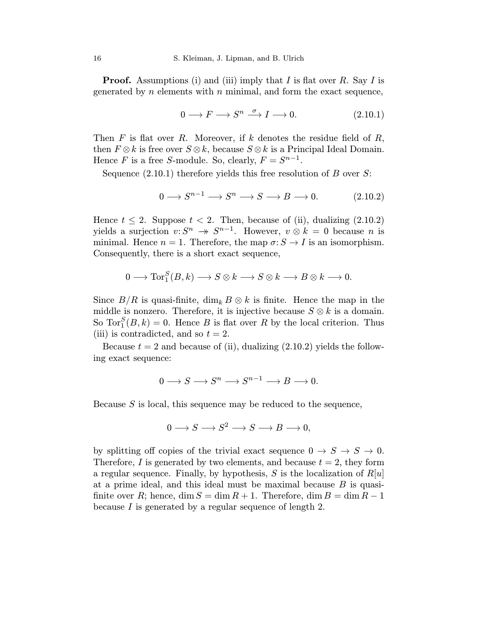**Proof.** Assumptions (i) and (iii) imply that I is flat over R. Say I is generated by n elements with n minimal, and form the exact sequence,

$$
0 \longrightarrow F \longrightarrow S^n \stackrel{\sigma}{\longrightarrow} I \longrightarrow 0. \tag{2.10.1}
$$

Then  $F$  is flat over  $R$ . Moreover, if  $k$  denotes the residue field of  $R$ , then  $F \otimes k$  is free over  $S \otimes k$ , because  $S \otimes k$  is a Principal Ideal Domain. Hence F is a free S-module. So, clearly,  $F = S^{n-1}$ .

Sequence  $(2.10.1)$  therefore yields this free resolution of B over S:

$$
0 \longrightarrow S^{n-1} \longrightarrow S^n \longrightarrow S \longrightarrow B \longrightarrow 0. \tag{2.10.2}
$$

Hence  $t \leq 2$ . Suppose  $t \leq 2$ . Then, because of (ii), dualizing (2.10.2) yields a surjection  $v: S^n \to S^{n-1}$ . However,  $v \otimes k = 0$  because n is minimal. Hence  $n = 1$ . Therefore, the map  $\sigma: S \to I$  is an isomorphism. Consequently, there is a short exact sequence,

$$
0\longrightarrow \mathrm{Tor}_{1}^{S}(B,k)\longrightarrow S\otimes k\longrightarrow S\otimes k\longrightarrow B\otimes k\longrightarrow 0.
$$

Since  $B/R$  is quasi-finite,  $\dim_k B \otimes k$  is finite. Hence the map in the middle is nonzero. Therefore, it is injective because  $S \otimes k$  is a domain. So  $\text{Tor}_1^S(B, k) = 0$ . Hence B is flat over R by the local criterion. Thus (iii) is contradicted, and so  $t = 2$ .

Because  $t = 2$  and because of (ii), dualizing  $(2.10.2)$  yields the following exact sequence:

$$
0\longrightarrow S\longrightarrow S^n\longrightarrow S^{n-1}\longrightarrow B\longrightarrow 0.
$$

Because  $S$  is local, this sequence may be reduced to the sequence,

$$
0 \longrightarrow S \longrightarrow S^2 \longrightarrow S \longrightarrow B \longrightarrow 0,
$$

by splitting off copies of the trivial exact sequence  $0 \rightarrow S \rightarrow S \rightarrow 0$ . Therefore, I is generated by two elements, and because  $t = 2$ , they form a regular sequence. Finally, by hypothesis, S is the localization of  $R[u]$ at a prime ideal, and this ideal must be maximal because  $B$  is quasifinite over R; hence, dim  $S = \dim R + 1$ . Therefore,  $\dim B = \dim R - 1$ because I is generated by a regular sequence of length 2.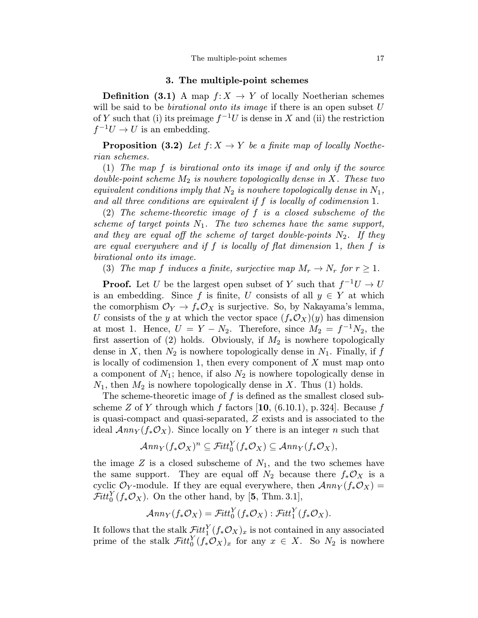#### 3. The multiple-point schemes

**Definition** (3.1) A map  $f: X \to Y$  of locally Noetherian schemes will be said to be *birational onto its image* if there is an open subset  $U$ of Y such that (i) its preimage  $f^{-1}U$  is dense in X and (ii) the restriction  $f^{-1}U \rightarrow U$  is an embedding.

**Proposition (3.2)** Let  $f: X \to Y$  be a finite map of locally Noetherian schemes.

(1) The map f is birational onto its image if and only if the source double-point scheme  $M_2$  is nowhere topologically dense in X. These two equivalent conditions imply that  $N_2$  is nowhere topologically dense in  $N_1$ , and all three conditions are equivalent if f is locally of codimension 1.

 $(2)$  The scheme-theoretic image of f is a closed subscheme of the scheme of target points  $N_1$ . The two schemes have the same support, and they are equal off the scheme of target double-points  $N_2$ . If they are equal everywhere and if f is locally of flat dimension 1, then f is birational onto its image.

(3) The map f induces a finite, surjective map  $M_r \to N_r$  for  $r \geq 1$ .

**Proof.** Let U be the largest open subset of Y such that  $f^{-1}U \to U$ is an embedding. Since f is finite, U consists of all  $y \in Y$  at which the comorphism  $\mathcal{O}_Y \to f_* \mathcal{O}_X$  is surjective. So, by Nakayama's lemma, U consists of the y at which the vector space  $(f_*\mathcal{O}_X)(y)$  has dimension at most 1. Hence,  $U = Y - N_2$ . Therefore, since  $M_2 = f^{-1}N_2$ , the first assertion of (2) holds. Obviously, if  $M_2$  is nowhere topologically dense in X, then  $N_2$  is nowhere topologically dense in  $N_1$ . Finally, if f is locally of codimension 1, then every component of  $X$  must map onto a component of  $N_1$ ; hence, if also  $N_2$  is nowhere topologically dense in  $N_1$ , then  $M_2$  is nowhere topologically dense in X. Thus (1) holds.

The scheme-theoretic image of  $f$  is defined as the smallest closed subscheme Z of Y through which f factors  $[10, (6.10.1), p.324]$ . Because f is quasi-compact and quasi-separated, Z exists and is associated to the ideal  $\mathcal{A}nn_Y(f_*\mathcal{O}_X)$ . Since locally on Y there is an integer n such that

$$
\mathcal{A}nn_Y(f_*\mathcal{O}_X)^n\subseteq \mathcal{F}itt_0^Y(f_*\mathcal{O}_X)\subseteq \mathcal{A}nn_Y(f_*\mathcal{O}_X),
$$

the image  $Z$  is a closed subscheme of  $N_1$ , and the two schemes have the same support. They are equal off  $N_2$  because there  $f_*\mathcal{O}_X$  is a cyclic  $\mathcal{O}_Y$ -module. If they are equal everywhere, then  $\mathcal{A}nn_Y(f_*\mathcal{O}_X)$  =  $Fitt_0^Y(f_*\mathcal{O}_X)$ . On the other hand, by [5, Thm. 3.1],

$$
\mathcal{A}nn_Y(f_*\mathcal{O}_X)=\mathcal{F}\mathrm{itt}_0^Y(f_*\mathcal{O}_X):\mathcal{F}\mathrm{itt}_1^Y(f_*\mathcal{O}_X).
$$

It follows that the stalk  $\mathcal{F}itt_1^Y(f_*\mathcal{O}_X)_x$  is not contained in any associated prime of the stalk  $\mathcal{F}itt_0^Y(f_*\mathcal{O}_X)_x$  for any  $x \in X$ . So  $N_2$  is nowhere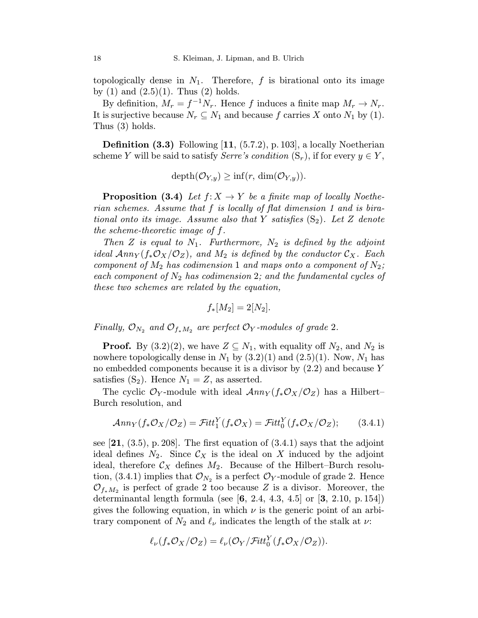topologically dense in  $N_1$ . Therefore, f is birational onto its image by  $(1)$  and  $(2.5)(1)$ . Thus  $(2)$  holds.

By definition,  $M_r = f^{-1}N_r$ . Hence f induces a finite map  $M_r \to N_r$ . It is surjective because  $N_r \subseteq N_1$  and because f carries X onto  $N_1$  by (1). Thus (3) holds.

**Definition (3.3)** Following  $[11, (5.7.2), p. 103]$ , a locally Noetherian scheme Y will be said to satisfy Serre's condition  $(S_r)$ , if for every  $y \in Y$ ,

$$
\mathrm{depth}(\mathcal{O}_{Y,y}) \geq \inf(r, \, \dim(\mathcal{O}_{Y,y})).
$$

**Proposition (3.4)** Let  $f: X \to Y$  be a finite map of locally Noetherian schemes. Assume that f is locally of flat dimension 1 and is birational onto its image. Assume also that Y satisfies  $(S_2)$ . Let Z denote the scheme-theoretic image of f.

Then Z is equal to  $N_1$ . Furthermore,  $N_2$  is defined by the adjoint ideal  $\mathcal{A}nn_Y(f_*\mathcal{O}_X/\mathcal{O}_Z)$ , and  $M_2$  is defined by the conductor  $\mathcal{C}_X$ . Each component of  $M_2$  has codimension 1 and maps onto a component of  $N_2$ ; each component of  $N_2$  has codimension 2; and the fundamental cycles of these two schemes are related by the equation,

$$
f_*[M_2] = 2[N_2].
$$

Finally,  $\mathcal{O}_{N_2}$  and  $\mathcal{O}_{f_*M_2}$  are perfect  $\mathcal{O}_Y$ -modules of grade 2.

**Proof.** By  $(3.2)(2)$ , we have  $Z \subseteq N_1$ , with equality off  $N_2$ , and  $N_2$  is nowhere topologically dense in  $N_1$  by  $(3.2)(1)$  and  $(2.5)(1)$ . Now,  $N_1$  has no embedded components because it is a divisor by  $(2.2)$  and because Y satisfies  $(S_2)$ . Hence  $N_1 = Z$ , as asserted.

The cyclic  $\mathcal{O}_Y$ -module with ideal  $\mathcal{A}nn_Y(f_*\mathcal{O}_X/\mathcal{O}_Z)$  has a Hilbert– Burch resolution, and

$$
\mathcal{A}nn_Y(f_*\mathcal{O}_X/\mathcal{O}_Z) = \mathcal{F}itt_1^Y(f_*\mathcal{O}_X) = \mathcal{F}itt_0^Y(f_*\mathcal{O}_X/\mathcal{O}_Z); \qquad (3.4.1)
$$

see  $[21, (3.5), p. 208]$ . The first equation of  $(3.4.1)$  says that the adjoint ideal defines  $N_2$ . Since  $\mathcal{C}_X$  is the ideal on X induced by the adjoint ideal, therefore  $\mathcal{C}_X$  defines  $M_2$ . Because of the Hilbert–Burch resolution, (3.4.1) implies that  $\mathcal{O}_{N_2}$  is a perfect  $\mathcal{O}_Y$ -module of grade 2. Hence  $\mathcal{O}_{f_*M_2}$  is perfect of grade 2 too because Z is a divisor. Moreover, the determinantal length formula (see  $[6, 2.4, 4.3, 4.5]$  or  $[3, 2.10, p.154]$ ) gives the following equation, in which  $\nu$  is the generic point of an arbitrary component of  $N_2$  and  $\ell_{\nu}$  indicates the length of the stalk at  $\nu$ :

$$
\ell_{\nu}(f_*\mathcal{O}_X/\mathcal{O}_Z)=\ell_{\nu}(\mathcal{O}_Y/\mathcal{F}itt_0^Y(f_*\mathcal{O}_X/\mathcal{O}_Z)).
$$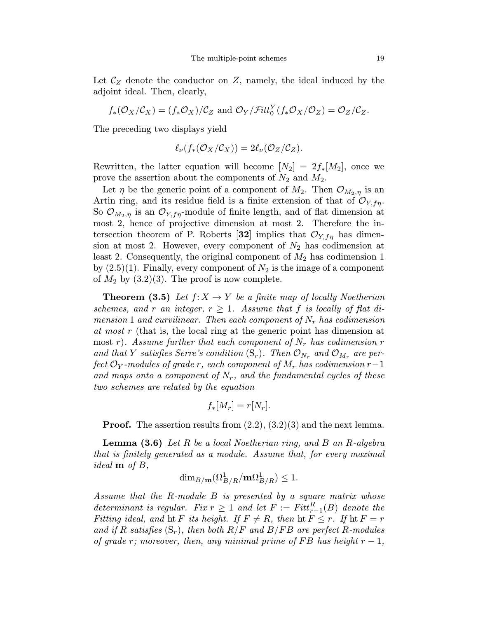Let  $\mathcal{C}_Z$  denote the conductor on Z, namely, the ideal induced by the adjoint ideal. Then, clearly,

$$
f_*(\mathcal{O}_X/\mathcal{C}_X) = (f_*\mathcal{O}_X)/\mathcal{C}_Z
$$
 and  $\mathcal{O}_Y/\mathcal{F}itt_0^Y(f_*\mathcal{O}_X/\mathcal{O}_Z) = \mathcal{O}_Z/\mathcal{C}_Z$ .

The preceding two displays yield

$$
\ell_{\nu}(f_*(\mathcal{O}_X/\mathcal{C}_X))=2\ell_{\nu}(\mathcal{O}_Z/\mathcal{C}_Z).
$$

Rewritten, the latter equation will become  $[N_2]=2f_*[M_2]$ , once we prove the assertion about the components of  $N_2$  and  $M_2$ .

Let  $\eta$  be the generic point of a component of  $M_2$ . Then  $\mathcal{O}_{M_2,\eta}$  is an Artin ring, and its residue field is a finite extension of that of  $\mathcal{O}_{Y,fn}$ . So  $\mathcal{O}_{M_2,\eta}$  is an  $\mathcal{O}_{Y, f\eta}$ -module of finite length, and of flat dimension at most 2, hence of projective dimension at most 2. Therefore the intersection theorem of P. Roberts [32] implies that  $\mathcal{O}_{Y, f\eta}$  has dimension at most 2. However, every component of  $N_2$  has codimension at least 2. Consequently, the original component of  $M_2$  has codimension 1 by  $(2.5)(1)$ . Finally, every component of  $N_2$  is the image of a component of  $M_2$  by  $(3.2)(3)$ . The proof is now complete.

**Theorem (3.5)** Let  $f: X \to Y$  be a finite map of locally Noetherian schemes, and r an integer,  $r \geq 1$ . Assume that f is locally of flat dimension 1 and curvilinear. Then each component of  $N_r$  has codimension at most r (that is, the local ring at the generic point has dimension at most r). Assume further that each component of  $N_r$  has codimension r and that Y satisfies Serre's condition  $(S_r)$ . Then  $\mathcal{O}_{N_r}$  and  $\mathcal{O}_{M_r}$  are perfect  $\mathcal{O}_Y$ -modules of grade r, each component of  $M_r$  has codimension  $r-1$ and maps onto a component of  $N_r$ , and the fundamental cycles of these two schemes are related by the equation

$$
f_*[M_r] = r[N_r].
$$

**Proof.** The assertion results from  $(2.2)$ ,  $(3.2)(3)$  and the next lemma.

**Lemma (3.6)** Let R be a local Noetherian ring, and B an R-algebra that is finitely generated as a module. Assume that, for every maximal ideal m of B,

$$
\dim_{B/{\bf m}}(\Omega^1_{B/R}/{\bf m}\Omega^1_{B/R})\leq 1.
$$

Assume that the R-module B is presented by a square matrix whose determinant is regular. Fix  $r \geq 1$  and let  $F := Fitt_{r-1}^R(B)$  denote the Fitting ideal, and ht F its height. If  $F \neq R$ , then ht  $F \leq r$ . If ht  $F = r$ and if R satisfies  $(S_r)$ , then both  $R/F$  and  $B/FB$  are perfect R-modules of grade r; moreover, then, any minimal prime of FB has height  $r-1$ ,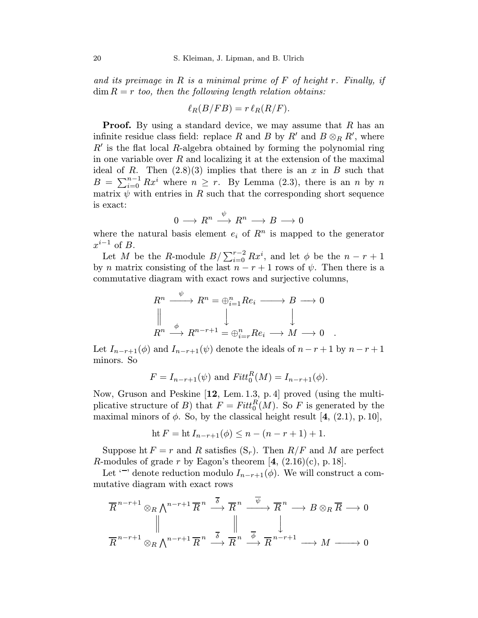and its preimage in R is a minimal prime of  $F$  of height r. Finally, if  $\dim R = r$  too, then the following length relation obtains:

$$
\ell_R(B/FB)=r\,\ell_R(R/F).
$$

**Proof.** By using a standard device, we may assume that  $R$  has an infinite residue class field: replace R and B by R' and  $B \otimes_R R'$ , where  $R'$  is the flat local R-algebra obtained by forming the polynomial ring in one variable over  $R$  and localizing it at the extension of the maximal ideal of R. Then  $(2.8)(3)$  implies that there is an x in B such that  $B = \sum_{i=0}^{n-1} Rx^i$  where  $n \geq r$ . By Lemma (2.3), there is an n by n matrix  $\psi$  with entries in R such that the corresponding short sequence is exact:

$$
0\longrightarrow R^n\stackrel{\psi}{\longrightarrow} R^n\longrightarrow B\longrightarrow 0
$$

where the natural basis element  $e_i$  of  $R^n$  is mapped to the generator  $x^{i-1}$  of  $B$ .

Let M be the R-module  $B/\sum_{i=0}^{r-2}Rx^i$ , and let  $\phi$  be the  $n-r+1$ by n matrix consisting of the last  $n - r + 1$  rows of  $\psi$ . Then there is a commutative diagram with exact rows and surjective columns,

$$
R^n \xrightarrow{\psi} R^n = \bigoplus_{i=1}^n Re_i \longrightarrow B \longrightarrow 0
$$
  

$$
\parallel \qquad \qquad \downarrow \qquad \qquad \downarrow
$$
  

$$
R^n \xrightarrow{\phi} R^{n-r+1} = \bigoplus_{i=r}^n Re_i \longrightarrow M \longrightarrow 0.
$$

Let  $I_{n-r+1}(\phi)$  and  $I_{n-r+1}(\psi)$  denote the ideals of  $n-r+1$  by  $n-r+1$ minors. So

$$
F = I_{n-r+1}(\psi)
$$
 and  $Fitt_0^R(M) = I_{n-r+1}(\phi)$ .

Now, Gruson and Peskine [12, Lem. 1.3, p.4] proved (using the multiplicative structure of B) that  $F = Fitt_0^R(M)$ . So F is generated by the maximal minors of  $\phi$ . So, by the classical height result [4, (2.1), p. 10],

$$
ht F = ht I_{n-r+1}(\phi) \le n - (n - r + 1) + 1.
$$

Suppose ht  $F = r$  and R satisfies  $(S_r)$ . Then  $R/F$  and M are perfect R-modules of grade r by Eagon's theorem  $[4, (2.16)(c), p. 18]$ .

Let '<sup>-</sup>' denote reduction modulo  $I_{n-r+1}(\phi)$ . We will construct a commutative diagram with exact rows

$$
\overline{R}^{n-r+1} \otimes_R \bigwedge^{n-r+1} \overline{R}^n \stackrel{\overline{\delta}}{\longrightarrow} \overline{R}^n \stackrel{\overline{\psi}}{\longrightarrow} \overline{R}^n \longrightarrow B \otimes_R \overline{R} \longrightarrow 0
$$
  

$$
\parallel \qquad \qquad \parallel
$$
  

$$
\overline{R}^{n-r+1} \otimes_R \bigwedge^{n-r+1} \overline{R}^n \stackrel{\overline{\delta}}{\longrightarrow} \overline{R}^n \stackrel{\overline{\phi}}{\longrightarrow} \overline{R}^{n-r+1} \longrightarrow M \longrightarrow 0
$$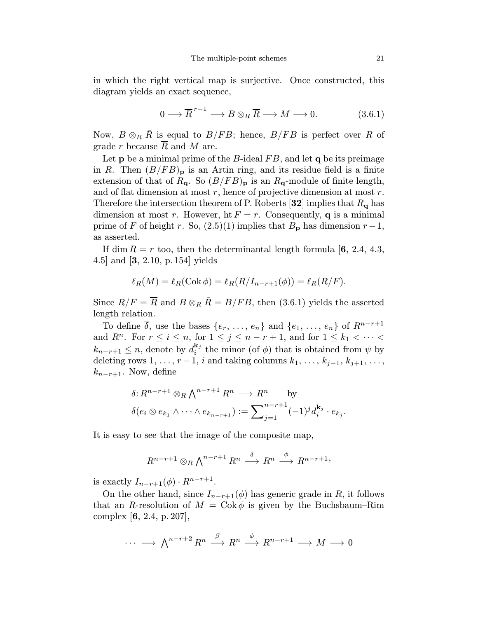in which the right vertical map is surjective. Once constructed, this diagram yields an exact sequence,

$$
0 \longrightarrow \overline{R}^{r-1} \longrightarrow B \otimes_R \overline{R} \longrightarrow M \longrightarrow 0. \tag{3.6.1}
$$

Now,  $B \otimes_R \overline{R}$  is equal to  $B/FB$ ; hence,  $B/FB$  is perfect over R of grade r because  $\overline{R}$  and M are.

Let **p** be a minimal prime of the B-ideal  $FB$ , and let **q** be its preimage in R. Then  $(B/FB)_{\rm p}$  is an Artin ring, and its residue field is a finite extension of that of  $R_{q}$ . So  $(B/FB)_{p}$  is an  $R_{q}$ -module of finite length, and of flat dimension at most  $r$ , hence of projective dimension at most  $r$ . Therefore the intersection theorem of P. Roberts [32] implies that  $R_{q}$  has dimension at most r. However, ht  $F = r$ . Consequently, **q** is a minimal prime of F of height r. So,  $(2.5)(1)$  implies that B<sub>p</sub> has dimension  $r-1$ , as asserted.

If dim  $R = r$  too, then the determinantal length formula [6, 2.4, 4.3, 4.5] and [3, 2.10, p.154] yields

$$
\ell_R(M) = \ell_R(\text{Cok }\phi) = \ell_R(R/I_{n-r+1}(\phi)) = \ell_R(R/F).
$$

Since  $R/F = \overline{R}$  and  $B \otimes_R \overline{R} = B/FB$ , then (3.6.1) yields the asserted length relation.

To define  $\overline{\delta}$ , use the bases  $\{e_r, \ldots, e_n\}$  and  $\{e_1, \ldots, e_n\}$  of  $R^{n-r+1}$ and  $R^n$ . For  $r \leq i \leq n$ , for  $1 \leq j \leq n-r+1$ , and for  $1 \leq k_1 < \cdots <$  $k_{n-r+1} \leq n$ , denote by  $d_i^{\mathbf{k}_j}$  the minor (of  $\phi$ ) that is obtained from  $\psi$  by deleting rows  $1, \ldots, r-1$ , i and taking columns  $k_1, \ldots, k_{j-1}, k_{j+1}, \ldots$  $k_{n-r+1}$ . Now, define

$$
\delta: R^{n-r+1} \otimes_R \bigwedge^{n-r+1} R^n \longrightarrow R^n \qquad \text{by}
$$

$$
\delta(e_i \otimes e_{k_1} \wedge \dots \wedge e_{k_{n-r+1}}) := \sum_{j=1}^{n-r+1} (-1)^j d_i^{k_j} \cdot e_{k_j}.
$$

It is easy to see that the image of the composite map,

$$
R^{n-r+1} \otimes_R \bigwedge^{n-r+1} R^n \xrightarrow{\delta} R^n \xrightarrow{\phi} R^{n-r+1},
$$

is exactly  $I_{n-r+1}(\phi) \cdot R^{n-r+1}$ .

On the other hand, since  $I_{n-r+1}(\phi)$  has generic grade in R, it follows that an R-resolution of  $M = \text{Cok } \phi$  is given by the Buchsbaum–Rim complex [6, 2.4, p. 207],

$$
\cdots \longrightarrow \bigwedge\nolimits^{n-r+2} R^n \stackrel{\beta}{\longrightarrow} R^n \stackrel{\phi}{\longrightarrow} R^{n-r+1} \longrightarrow M \longrightarrow 0
$$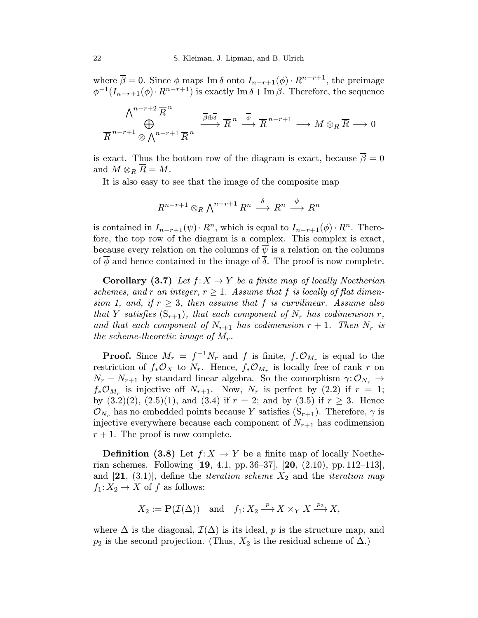where  $\overline{\beta} = 0$ . Since  $\phi$  maps Im  $\delta$  onto  $I_{n-r+1}(\phi) \cdot R^{n-r+1}$ , the preimage  $\phi^{-1}(I_{n-r+1}(\phi) \cdot R^{n-r+1})$  is exactly Im  $\delta + \text{Im }\beta$ . Therefore, the sequence

$$
\dfrac{\bigwedge^{n-r+2} \overline{R}^{\,n}}{\overline{R}^{\,n-r+1}\otimes \bigwedge^{n-r+1} \overline{R}^{\,n}} \xrightarrow{\overline{\beta} \oplus \overline{\delta}} \overline{R}^{\,n} \xrightarrow{\overline{\phi}} \overline{R}^{\,n-r+1} \longrightarrow M \otimes_{R} \overline{R} \longrightarrow 0
$$

is exact. Thus the bottom row of the diagram is exact, because  $\overline{\beta} = 0$ and  $M \otimes_R \overline{R} = M$ .

It is also easy to see that the image of the composite map

$$
R^{n-r+1} \otimes_R \bigwedge\nolimits^{n-r+1} R^n \xrightarrow{\delta} R^n \xrightarrow{\psi} R^n
$$

is contained in  $I_{n-r+1}(\psi) \cdot R^n$ , which is equal to  $I_{n-r+1}(\phi) \cdot R^n$ . Therefore, the top row of the diagram is a complex. This complex is exact, because every relation on the columns of  $\overline{\psi}$  is a relation on the columns of  $\phi$  and hence contained in the image of  $\overline{\delta}$ . The proof is now complete.

**Corollary (3.7)** Let  $f: X \to Y$  be a finite map of locally Noetherian schemes, and r an integer,  $r \geq 1$ . Assume that f is locally of flat dimension 1, and, if  $r \geq 3$ , then assume that f is curvilinear. Assume also that Y satisfies  $(S_{r+1})$ , that each component of  $N_r$  has codimension r, and that each component of  $N_{r+1}$  has codimension  $r+1$ . Then  $N_r$  is the scheme-theoretic image of  $M_r$ .

**Proof.** Since  $M_r = f^{-1}N_r$  and f is finite,  $f_*\mathcal{O}_{M_r}$  is equal to the restriction of  $f_*\mathcal{O}_X$  to  $N_r$ . Hence,  $f_*\mathcal{O}_{M_r}$  is locally free of rank r on  $N_r - N_{r+1}$  by standard linear algebra. So the comorphism  $\gamma: \mathcal{O}_{N_r} \to$  $f_*\mathcal{O}_{M_r}$  is injective off  $N_{r+1}$ . Now,  $N_r$  is perfect by (2.2) if  $r = 1$ ; by  $(3.2)(2)$ ,  $(2.5)(1)$ , and  $(3.4)$  if  $r = 2$ ; and by  $(3.5)$  if  $r \geq 3$ . Hence  $\mathcal{O}_{N_r}$  has no embedded points because Y satisfies  $(S_{r+1})$ . Therefore,  $\gamma$  is injective everywhere because each component of  $N_{r+1}$  has codimension  $r + 1$ . The proof is now complete.

**Definition (3.8)** Let  $f: X \to Y$  be a finite map of locally Noetherian schemes. Following [19, 4.1, pp. 36–37], [20, (2.10), pp. 112–113], and  $[21, (3.1)]$ , define the *iteration scheme*  $X_2$  and the *iteration map*  $f_1: X_2 \to X$  of f as follows:

$$
X_2 := \mathbf{P}(\mathcal{I}(\Delta)) \quad \text{and} \quad f_1: X_2 \xrightarrow{p} X \times_Y X \xrightarrow{p_2} X,
$$

where  $\Delta$  is the diagonal,  $\mathcal{I}(\Delta)$  is its ideal, p is the structure map, and  $p_2$  is the second projection. (Thus,  $X_2$  is the residual scheme of  $\Delta$ .)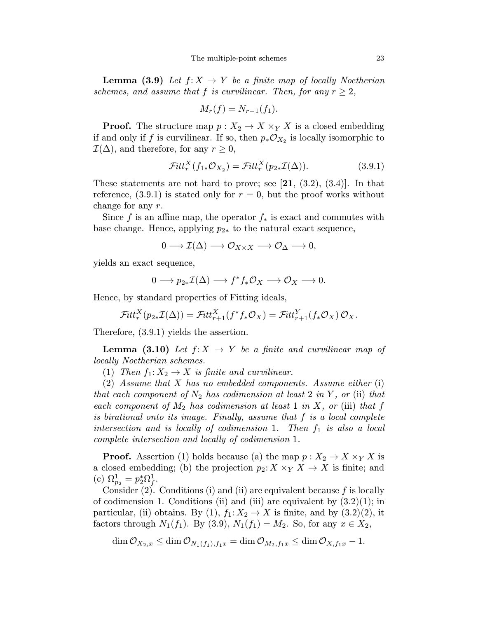**Lemma (3.9)** Let  $f: X \to Y$  be a finite map of locally Noetherian schemes, and assume that f is curvilinear. Then, for any  $r \geq 2$ ,

$$
M_r(f) = N_{r-1}(f_1).
$$

**Proof.** The structure map  $p: X_2 \to X \times_Y X$  is a closed embedding if and only if f is curvilinear. If so, then  $p_*\mathcal{O}_{X_2}$  is locally isomorphic to  $\mathcal{I}(\Delta)$ , and therefore, for any  $r \geq 0$ ,

$$
\mathcal{F}itt_r^X(f_{1*}\mathcal{O}_{X_2}) = \mathcal{F}itt_r^X(p_{2*}\mathcal{I}(\Delta)).
$$
\n(3.9.1)

These statements are not hard to prove; see  $[21, (3.2), (3.4)]$ . In that reference,  $(3.9.1)$  is stated only for  $r = 0$ , but the proof works without change for any r.

Since f is an affine map, the operator  $f_*$  is exact and commutes with base change. Hence, applying  $p_{2*}$  to the natural exact sequence,

$$
0 \longrightarrow \mathcal{I}(\Delta) \longrightarrow \mathcal{O}_{X \times X} \longrightarrow \mathcal{O}_{\Delta} \longrightarrow 0,
$$

yields an exact sequence,

$$
0 \longrightarrow p_{2*}\mathcal{I}(\Delta) \longrightarrow f^*f_*\mathcal{O}_X \longrightarrow \mathcal{O}_X \longrightarrow 0.
$$

Hence, by standard properties of Fitting ideals,

$$
\mathcal{F}itt_r^X(p_{2*}\mathcal{I}(\Delta)) = \mathcal{F}itt_{r+1}^X(f^*f_*\mathcal{O}_X) = \mathcal{F}itt_{r+1}^Y(f_*\mathcal{O}_X)\mathcal{O}_X.
$$

Therefore, (3.9.1) yields the assertion.

**Lemma (3.10)** Let  $f: X \rightarrow Y$  be a finite and curvilinear map of locally Noetherian schemes.

(1) Then  $f_1: X_2 \to X$  is finite and curvilinear.

 $(2)$  Assume that X has no embedded components. Assume either  $(i)$ that each component of  $N_2$  has codimension at least 2 in Y, or (ii) that each component of  $M_2$  has codimension at least 1 in X, or (iii) that f is birational onto its image. Finally, assume that f is a local complete intersection and is locally of codimension 1. Then  $f_1$  is also a local complete intersection and locally of codimension 1.

**Proof.** Assertion (1) holds because (a) the map  $p: X_2 \to X \times_Y X$  is a closed embedding; (b) the projection  $p_2: X \times_Y X \to X$  is finite; and (c)  $\Omega_{p_2}^1 = p_2^* \Omega_f^1$ .

Consider  $(2)$ . Conditions  $(i)$  and  $(ii)$  are equivalent because f is locally of codimension 1. Conditions (ii) and (iii) are equivalent by  $(3.2)(1)$ ; in particular, (ii) obtains. By (1),  $f_1: X_2 \to X$  is finite, and by (3.2)(2), it factors through  $N_1(f_1)$ . By (3.9),  $N_1(f_1) = M_2$ . So, for any  $x \in X_2$ ,

 $\dim \mathcal{O}_{X_2,x} \leq \dim \mathcal{O}_{N_1(f_1),f_1x} = \dim \mathcal{O}_{M_2,f_1x} \leq \dim \mathcal{O}_{X,f_1x} - 1.$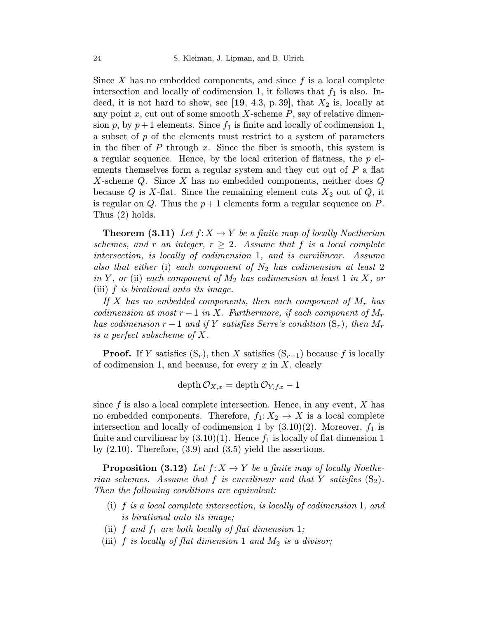Since X has no embedded components, and since  $f$  is a local complete intersection and locally of codimension 1, it follows that  $f_1$  is also. Indeed, it is not hard to show, see [19, 4.3, p. 39], that  $X_2$  is, locally at any point x, cut out of some smooth  $X$ -scheme  $P$ , say of relative dimension p, by  $p+1$  elements. Since  $f_1$  is finite and locally of codimension 1, a subset of  $p$  of the elements must restrict to a system of parameters in the fiber of  $P$  through  $x$ . Since the fiber is smooth, this system is a regular sequence. Hence, by the local criterion of flatness, the  $p$  elements themselves form a regular system and they cut out of  $P$  a flat X-scheme  $Q$ . Since X has no embedded components, neither does  $Q$ because Q is X-flat. Since the remaining element cuts  $X_2$  out of  $Q$ , it is regular on Q. Thus the  $p+1$  elements form a regular sequence on P. Thus (2) holds.

**Theorem (3.11)** Let  $f: X \to Y$  be a finite map of locally Noetherian schemes, and r an integer,  $r \geq 2$ . Assume that f is a local complete intersection, is locally of codimension 1, and is curvilinear. Assume also that either (i) each component of  $N_2$  has codimension at least 2 in Y, or (ii) each component of  $M_2$  has codimension at least 1 in X, or (iii)  $f$  is birational onto its image.

If X has no embedded components, then each component of  $M_r$  has codimension at most  $r-1$  in X. Furthermore, if each component of  $M_r$ has codimension  $r-1$  and if Y satisfies Serre's condition  $(S_r)$ , then  $M_r$ is a perfect subscheme of X.

**Proof.** If Y satisfies  $(S_r)$ , then X satisfies  $(S_{r-1})$  because f is locally of codimension 1, and because, for every  $x$  in  $X$ , clearly

$$
\operatorname{depth} \mathcal{O}_{X,x} = \operatorname{depth} \mathcal{O}_{Y,fx} - 1
$$

since  $f$  is also a local complete intersection. Hence, in any event,  $X$  has no embedded components. Therefore,  $f_1: X_2 \to X$  is a local complete intersection and locally of codimension 1 by  $(3.10)(2)$ . Moreover,  $f_1$  is finite and curvilinear by  $(3.10)(1)$ . Hence  $f_1$  is locally of flat dimension 1 by  $(2.10)$ . Therefore,  $(3.9)$  and  $(3.5)$  yield the assertions.

**Proposition (3.12)** Let  $f: X \to Y$  be a finite map of locally Noetherian schemes. Assume that f is curvilinear and that Y satisfies  $(S_2)$ . Then the following conditions are equivalent:

- (i) f is a local complete intersection, is locally of codimension 1, and is birational onto its image;
- (ii) f and  $f_1$  are both locally of flat dimension 1;
- (iii) f is locally of flat dimension 1 and  $M_2$  is a divisor;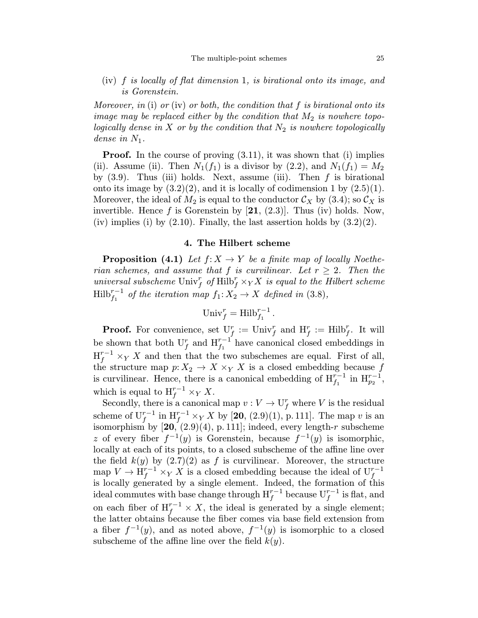(iv) f is locally of flat dimension 1, is birational onto its image, and is Gorenstein.

Moreover, in (i) or (iv) or both, the condition that  $f$  is birational onto its image may be replaced either by the condition that  $M_2$  is nowhere topologically dense in X or by the condition that  $N_2$  is nowhere topologically dense in  $N_1$ .

**Proof.** In the course of proving  $(3.11)$ , it was shown that (i) implies (ii). Assume (ii). Then  $N_1(f_1)$  is a divisor by (2.2), and  $N_1(f_1) = M_2$ by  $(3.9)$ . Thus (iii) holds. Next, assume (iii). Then f is birational onto its image by  $(3.2)(2)$ , and it is locally of codimension 1 by  $(2.5)(1)$ . Moreover, the ideal of  $M_2$  is equal to the conductor  $\mathcal{C}_X$  by (3.4); so  $\mathcal{C}_X$  is invertible. Hence f is Gorenstein by  $[21, (2.3)]$ . Thus (iv) holds. Now, (iv) implies (i) by  $(2.10)$ . Finally, the last assertion holds by  $(3.2)(2)$ .

#### 4. The Hilbert scheme

**Proposition (4.1)** Let  $f: X \to Y$  be a finite map of locally Noetherian schemes, and assume that f is curvilinear. Let  $r \geq 2$ . Then the universal subscheme  $\text{Univ}_f^r$  of  $\text{Hilb}_f^r \times_Y X$  is equal to the Hilbert scheme  $\mathrm{Hilb}_{f_1}^{r-1}$  of the iteration map  $f_1: X_2 \to X$  defined in (3.8),

$$
\text{Univ}_f^r = \text{Hilb}_{f_1}^{r-1}.
$$

**Proof.** For convenience, set  $U_f^r := \text{Univ}_f^r$  and  $H_f^r := \text{Hilb}_f^r$ . It will be shown that both  $U_f^r$  and  $H_{f_1}^{r-1}$  have canonical closed embeddings in  $H_f^{r-1} \times_Y X$  and then that the two subschemes are equal. First of all, the structure map  $p: X_2 \to X \times_Y X$  is a closed embedding because f is curvilinear. Hence, there is a canonical embedding of  $H_{f_1}^{r-1}$  in  $H_{p_2}^{r-1}$ , which is equal to  $H_f^{r-1} \times_Y X$ .

Secondly, there is a canonical map  $v: V \to \mathbf{U}_f^r$  where V is the residual scheme of  $U_f^{r-1}$  in  $H_f^{r-1} \times_Y X$  by [20, (2.9)(1), p. 111]. The map v is an isomorphism by  $[20, (2.9)(4), p. 111]$ ; indeed, every length-r subscheme z of every fiber  $f^{-1}(y)$  is Gorenstein, because  $f^{-1}(y)$  is isomorphic, locally at each of its points, to a closed subscheme of the affine line over the field  $k(y)$  by  $(2.7)(2)$  as f is curvilinear. Moreover, the structure map  $V \to \text{H}_{f}^{r-1} \times_Y X$  is a closed embedding because the ideal of  $\text{U}_{f}^{r-1}$ is locally generated by a single element. Indeed, the formation of this ideal commutes with base change through  $H_f^{r-1}$  because  $U_f^{r-1}$  is flat, and on each fiber of  $H_f^{r-1} \times X$ , the ideal is generated by a single element; the latter obtains because the fiber comes via base field extension from a fiber  $f^{-1}(y)$ , and as noted above,  $f^{-1}(y)$  is isomorphic to a closed subscheme of the affine line over the field  $k(y)$ .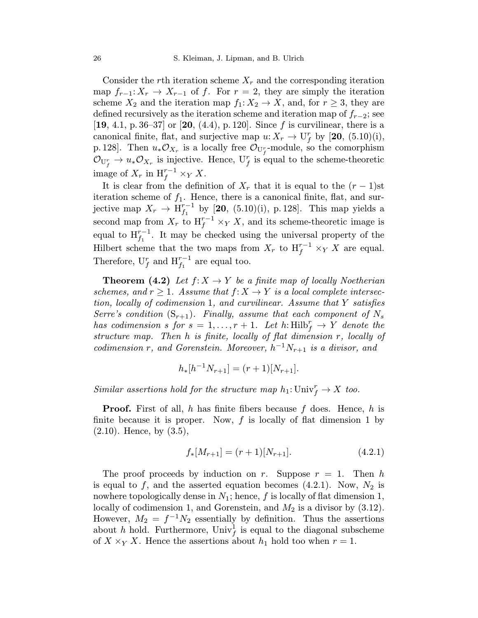Consider the rth iteration scheme  $X_r$  and the corresponding iteration map  $f_{r-1}: X_r \to X_{r-1}$  of f. For  $r = 2$ , they are simply the iteration scheme  $X_2$  and the iteration map  $f_1: X_2 \to X$ , and, for  $r \geq 3$ , they are defined recursively as the iteration scheme and iteration map of  $f_{r-2}$ ; see  $[19, 4.1, p. 36-37]$  or  $[20, (4.4), p. 120]$ . Since f is curvilinear, there is a canonical finite, flat, and surjective map  $u: X_r \to U_f^r$  by [20, (5.10)(i), p. 128]. Then  $u_*\mathcal{O}_{X_r}$  is a locally free  $\mathcal{O}_{U_f^r}$ -module, so the comorphism  $\mathcal{O}_{U_f^r} \to u_* \mathcal{O}_{X_r}$  is injective. Hence,  $U_f^r$  is equal to the scheme-theoretic image of  $X_r$  in  $\mathbf{H}_f^{r-1} \times_Y X$ .

It is clear from the definition of  $X_r$  that it is equal to the  $(r-1)$ st iteration scheme of  $f_1$ . Hence, there is a canonical finite, flat, and surjective map  $X_r \to \mathcal{H}_{f_1}^{r-1}$  by [20, (5.10)(i), p. 128]. This map yields a second map from  $X_r$  to  $\text{H}_{f}^{r-1} \times_Y X$ , and its scheme-theoretic image is equal to  $H_{f_1}^{r-1}$ . It may be checked using the universal property of the Hilbert scheme that the two maps from  $X_r$  to  $\text{H}_{f}^{r-1} \times_Y X$  are equal. Therefore,  $U_f^r$  and  $H_{f_1}^{r-1}$  are equal too.

**Theorem (4.2)** Let  $f: X \to Y$  be a finite map of locally Noetherian schemes, and  $r \geq 1$ . Assume that  $f: X \to Y$  is a local complete intersection, locally of codimension 1, and curvilinear. Assume that Y satisfies Serre's condition  $(S_{r+1})$ . Finally, assume that each component of  $N_s$ has codimension s for  $s = 1, \ldots, r + 1$ . Let  $h: \text{Hilb}_f^r \to Y$  denote the structure map. Then h is finite, locally of flat dimension r, locally of codimension r, and Gorenstein. Moreover,  $h^{-1}N_{r+1}$  is a divisor, and

$$
h_*[h^{-1}N_{r+1}] = (r+1)[N_{r+1}].
$$

Similar assertions hold for the structure map  $h_1:$  Univ $f \to X$  too.

**Proof.** First of all, h has finite fibers because f does. Hence, h is finite because it is proper. Now,  $f$  is locally of flat dimension 1 by  $(2.10)$ . Hence, by  $(3.5)$ ,

$$
f_*[M_{r+1}] = (r+1)[N_{r+1}]. \tag{4.2.1}
$$

The proof proceeds by induction on r. Suppose  $r = 1$ . Then h is equal to f, and the asserted equation becomes  $(4.2.1)$ . Now,  $N_2$  is nowhere topologically dense in  $N_1$ ; hence, f is locally of flat dimension 1, locally of codimension 1, and Gorenstein, and  $M_2$  is a divisor by  $(3.12)$ . However,  $M_2 = f^{-1}N_2$  essentially by definition. Thus the assertions about h hold. Furthermore,  $\text{Univ}_f^1$  is equal to the diagonal subscheme of  $X \times_Y X$ . Hence the assertions about  $h_1$  hold too when  $r = 1$ .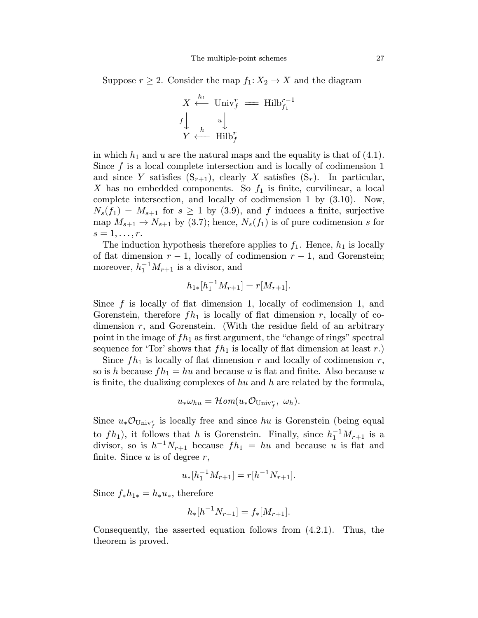Suppose  $r \geq 2$ . Consider the map  $f_1: X_2 \to X$  and the diagram

$$
X \stackrel{h_1}{\leftarrow} \text{Univ}_f^r \equiv \text{Hilb}_{f_1}^{r-1}
$$

$$
f \downarrow u \downarrow
$$

$$
Y \stackrel{h}{\leftarrow} \text{Hilb}_f^r
$$

in which  $h_1$  and u are the natural maps and the equality is that of (4.1). Since  $f$  is a local complete intersection and is locally of codimension 1 and since Y satisfies  $(S_{r+1})$ , clearly X satisfies  $(S_r)$ . In particular, X has no embedded components. So  $f_1$  is finite, curvilinear, a local complete intersection, and locally of codimension 1 by (3.10). Now,  $N_s(f_1) = M_{s+1}$  for  $s \ge 1$  by (3.9), and f induces a finite, surjective map  $M_{s+1} \to N_{s+1}$  by (3.7); hence,  $N_s(f_1)$  is of pure codimension s for  $s=1,\ldots,r.$ 

The induction hypothesis therefore applies to  $f_1$ . Hence,  $h_1$  is locally of flat dimension  $r-1$ , locally of codimension  $r-1$ , and Gorenstein; moreover,  $h_1^{-1}M_{r+1}$  is a divisor, and

$$
h_{1*}[h_1^{-1}M_{r+1}] = r[M_{r+1}].
$$

Since  $f$  is locally of flat dimension 1, locally of codimension 1, and Gorenstein, therefore  $fh_1$  is locally of flat dimension r, locally of codimension  $r$ , and Gorenstein. (With the residue field of an arbitrary point in the image of  $fh_1$  as first argument, the "change of rings" spectral sequence for 'Tor' shows that  $fh_1$  is locally of flat dimension at least r.)

Since  $fh_1$  is locally of flat dimension r and locally of codimension r, so is h because  $fh_1 = hu$  and because u is flat and finite. Also because u is finite, the dualizing complexes of  $hu$  and  $h$  are related by the formula,

$$
u_*\omega_{hu} = \mathcal{H}om(u_*\mathcal{O}_{\mathrm{Univ}_f^r}, \ \omega_h).
$$

Since  $u_*\mathcal{O}_{\text{Univ}_f^r}$  is locally free and since  $hu$  is Gorenstein (being equal to  $fh_1$ ), it follows that h is Gorenstein. Finally, since  $h_1^{-1}M_{r+1}$  is a divisor, so is  $h^{-1}N_{r+1}$  because  $fh_1 = hu$  and because u is flat and finite. Since  $u$  is of degree  $r$ ,

$$
u_*[h_1^{-1}M_{r+1}] = r[h^{-1}N_{r+1}].
$$

Since  $f_*h_{1*} = h_*u_*,$  therefore

$$
h_*[h^{-1}N_{r+1}] = f_*[M_{r+1}].
$$

Consequently, the asserted equation follows from (4.2.1). Thus, the theorem is proved.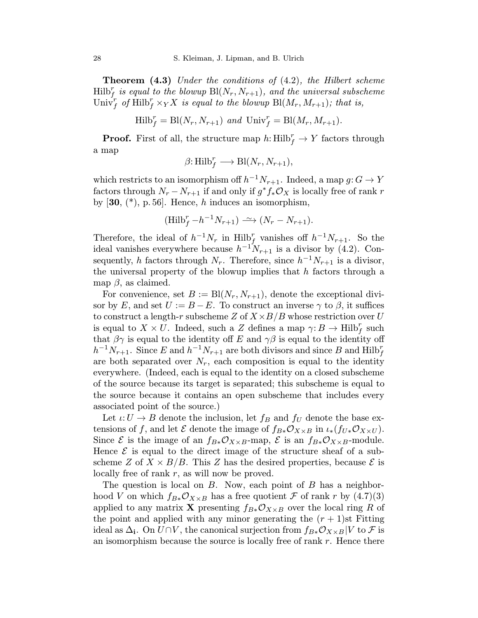**Theorem (4.3)** Under the conditions of  $(4.2)$ , the Hilbert scheme  $\mathrm{Hilb}_f^r$  is equal to the blowup  $\mathrm{Bl}(N_r,N_{r+1}),$  and the universal subscheme Univ<sub>f</sub> of  $Hilb_f^r \times_Y X$  is equal to the blowup  $Bl(M_r, M_{r+1})$ ; that is,

$$
\text{Hilb}_f^r = \text{Bl}(N_r, N_{r+1}) \text{ and } \text{Univ}_f^r = \text{Bl}(M_r, M_{r+1}).
$$

**Proof.** First of all, the structure map  $h: \text{Hilb}_f^r \to Y$  factors through a map

$$
\beta: \operatorname{Hilb}_f^r \longrightarrow \operatorname{Bl}(N_r, N_{r+1}),
$$

which restricts to an isomorphism off  $h^{-1}N_{r+1}$ . Indeed, a map  $g: G \to Y$ factors through  $N_r - N_{r+1}$  if and only if  $g^* f_* \mathcal{O}_X$  is locally free of rank r by  $[30, (*), p.56]$ . Hence, h induces an isomorphism,

$$
(\operatorname{Hilb}_f^r - h^{-1}N_{r+1}) \longrightarrow (N_r - N_{r+1}).
$$

Therefore, the ideal of  $h^{-1}N_r$  in Hilb<sup>r</sup><sub>f</sub> vanishes off  $h^{-1}N_{r+1}$ . So the ideal vanishes everywhere because  $h^{-1}N_{r+1}$  is a divisor by (4.2). Consequently, h factors through  $N_r$ . Therefore, since  $h^{-1}N_{r+1}$  is a divisor, the universal property of the blowup implies that  $h$  factors through a map  $\beta$ , as claimed.

For convenience, set  $B := Bl(N_r, N_{r+1})$ , denote the exceptional divisor by E, and set  $U := B - E$ . To construct an inverse  $\gamma$  to  $\beta$ , it suffices to construct a length-r subscheme Z of  $X \times B/B$  whose restriction over U is equal to  $X \times U$ . Indeed, such a Z defines a map  $\gamma: B \to \text{Hilb}_f^r$  such that  $\beta \gamma$  is equal to the identity off E and  $\gamma \beta$  is equal to the identity off  $h^{-1}N_{r+1}$ . Since E and  $h^{-1}N_{r+1}$  are both divisors and since B and  $\text{Hilb}_f^r$ are both separated over  $N_r$ , each composition is equal to the identity everywhere. (Indeed, each is equal to the identity on a closed subscheme of the source because its target is separated; this subscheme is equal to the source because it contains an open subscheme that includes every associated point of the source.)

Let  $\iota: U \to B$  denote the inclusion, let  $f_B$  and  $f_U$  denote the base extensions of f, and let  $\mathcal E$  denote the image of  $f_{B*}\mathcal O_{X\times B}$  in  $\iota_*(f_{U*}\mathcal O_{X\times U})$ . Since  $\mathcal E$  is the image of an  $f_{B*}\mathcal O_{X\times B}$ -map,  $\mathcal E$  is an  $f_{B*}\mathcal O_{X\times B}$ -module. Hence  $\mathcal E$  is equal to the direct image of the structure sheaf of a subscheme Z of  $X \times B/B$ . This Z has the desired properties, because  $\mathcal E$  is locally free of rank r, as will now be proved.

The question is local on  $B$ . Now, each point of  $B$  has a neighborhood V on which  $f_{B*}\mathcal{O}_{X\times B}$  has a free quotient  $\mathcal F$  of rank r by  $(4.7)(3)$ applied to any matrix **X** presenting  $f_{B*}\mathcal{O}_{X\times B}$  over the local ring R of the point and applied with any minor generating the  $(r + 1)$ st Fitting ideal as  $\Delta_i$ . On  $U \cap V$ , the canonical surjection from  $f_{B*} \mathcal{O}_{X \times B} | V$  to  $\mathcal{F}$  is an isomorphism because the source is locally free of rank  $r$ . Hence there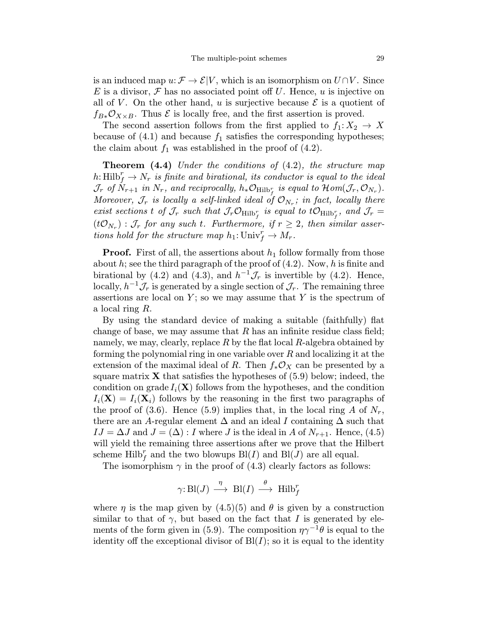is an induced map  $u: \mathcal{F} \to \mathcal{E}|V$ , which is an isomorphism on  $U \cap V$ . Since E is a divisor, F has no associated point off U. Hence, u is injective on all of V. On the other hand, u is surjective because  $\mathcal E$  is a quotient of  $f_{B*}\mathcal{O}_{X\times B}$ . Thus  $\mathcal E$  is locally free, and the first assertion is proved.

The second assertion follows from the first applied to  $f_1: X_2 \to X$ because of  $(4.1)$  and because  $f_1$  satisfies the corresponding hypotheses; the claim about  $f_1$  was established in the proof of  $(4.2)$ .

**Theorem (4.4)** Under the conditions of  $(4.2)$ , the structure map h:  $\text{Hilb}_f^r \rightarrow N_r$  is finite and birational, its conductor is equal to the ideal  $\mathcal{J}_r$  of  $N_{r+1}$  in  $N_r$ , and reciprocally,  $h_*\mathcal{O}_{\text{Hilb}_f^r}$  is equal to  $\mathcal{H}om(\mathcal{J}_r, \mathcal{O}_{N_r}).$ Moreover,  $\mathcal{J}_r$  is locally a self-linked ideal of  $\mathcal{O}_{N_r}$ ; in fact, locally there exist sections t of  $\mathcal{J}_r$  such that  $\mathcal{J}_r \mathcal{O}_{\text{Hilb}_f^r}$  is equal to  $t\mathcal{O}_{\text{Hilb}_f^r}$ , and  $\mathcal{J}_r =$  $(t\mathcal{O}_{N_r}):\mathcal{J}_r$  for any such t. Furthermore, if  $r\geq 2$ , then similar assertions hold for the structure map  $h_1: \text{Univ}_f^r \to M_r$ .

**Proof.** First of all, the assertions about  $h_1$  follow formally from those about h; see the third paragraph of the proof of  $(4.2)$ . Now, h is finite and birational by (4.2) and (4.3), and  $h^{-1} \mathcal{J}_r$  is invertible by (4.2). Hence, locally,  $h^{-1} \mathcal{J}_r$  is generated by a single section of  $\mathcal{J}_r$ . The remaining three assertions are local on  $Y$ ; so we may assume that  $Y$  is the spectrum of a local ring R.

By using the standard device of making a suitable (faithfully) flat change of base, we may assume that  $R$  has an infinite residue class field; namely, we may, clearly, replace  $R$  by the flat local  $R$ -algebra obtained by forming the polynomial ring in one variable over  $R$  and localizing it at the extension of the maximal ideal of R. Then  $f_*\mathcal{O}_X$  can be presented by a square matrix  $\bf{X}$  that satisfies the hypotheses of (5.9) below; indeed, the condition on grade  $I_i(\mathbf{X})$  follows from the hypotheses, and the condition  $I_i(\mathbf{X}) = I_i(\mathbf{X}_i)$  follows by the reasoning in the first two paragraphs of the proof of (3.6). Hence (5.9) implies that, in the local ring A of  $N_r$ , there are an A-regular element  $\Delta$  and an ideal I containing  $\Delta$  such that  $IJ = \Delta J$  and  $J = (\Delta) : I$  where J is the ideal in A of  $N_{r+1}$ . Hence, (4.5) will yield the remaining three assertions after we prove that the Hilbert scheme Hilb $_f^r$  and the two blowups  $\text{Bl}(I)$  and  $\text{Bl}(J)$  are all equal.

The isomorphism  $\gamma$  in the proof of (4.3) clearly factors as follows:

$$
\gamma\colon \text{Bl}(J)\ \stackrel{\eta}{\longrightarrow}\ \text{Bl}(I)\ \stackrel{\theta}{\longrightarrow}\ \text{Hilb}_f^r
$$

where  $\eta$  is the map given by  $(4.5)(5)$  and  $\theta$  is given by a construction similar to that of  $\gamma$ , but based on the fact that I is generated by elements of the form given in (5.9). The composition  $\eta \gamma^{-1} \theta$  is equal to the identity off the exceptional divisor of  $B(I)$ ; so it is equal to the identity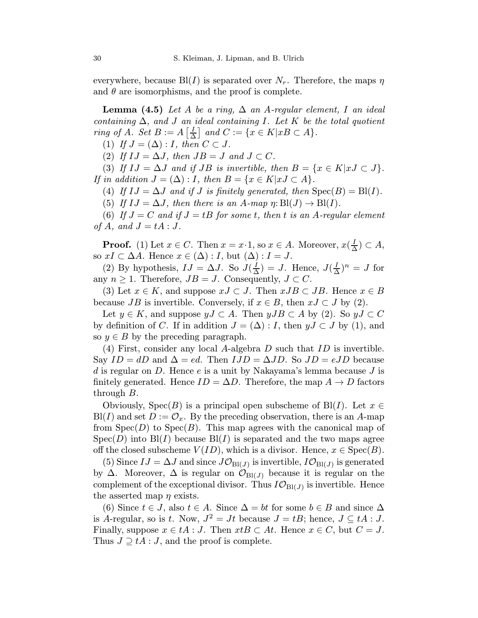everywhere, because  $B(f)$  is separated over  $N_r$ . Therefore, the maps  $\eta$ and  $\theta$  are isomorphisms, and the proof is complete.

**Lemma** (4.5) Let A be a ring,  $\Delta$  an A-regular element, I an ideal containing  $\Delta$ , and J an ideal containing I. Let K be the total quotient ring of A. Set  $B := A \left[ \frac{I}{A} \right]$  $\frac{I}{\Delta}$  and  $C := \{x \in K | xB \subset A\}.$ 

(1) If  $J = (\Delta) : I$ , then  $C \subset J$ .

(2) If  $IJ = \Delta J$ , then  $JB = J$  and  $J \subset C$ .

(3) If  $IJ = \Delta J$  and if  $JB$  is invertible, then  $B = \{x \in K | xJ \subset J\}.$ If in addition  $J = (\Delta) : I$ , then  $B = \{x \in K | xJ \subset A\}.$ 

(4) If  $IJ = \Delta J$  and if J is finitely generated, then  $Spec(B) = Bl(I)$ .

(5) If  $IJ = \Delta J$ , then there is an A-map  $\eta: \text{Bl}(J) \to \text{Bl}(I)$ .

(6) If  $J = C$  and if  $J = tB$  for some t, then t is an A-regular element of A, and  $J = tA : J$ .

**Proof.** (1) Let  $x \in C$ . Then  $x = x \cdot 1$ , so  $x \in A$ . Moreover,  $x(\frac{I}{\Delta}) \subset A$ , so  $xI \subset \Delta A$ . Hence  $x \in (\Delta) : I$ , but  $(\Delta) : I = J$ .

(2) By hypothesis,  $IJ = \Delta J$ . So  $J(\frac{I}{\Delta}) = J$ . Hence,  $J(\frac{I}{\Delta})^n = J$  for any  $n \geq 1$ . Therefore,  $JB = J$ . Consequently,  $J \subset C$ .

(3) Let  $x \in K$ , and suppose  $xJ \subset J$ . Then  $xJB \subset JB$ . Hence  $x \in B$ because  $JB$  is invertible. Conversely, if  $x \in B$ , then  $xJ \subset J$  by (2).

Let  $y \in K$ , and suppose  $yJ \subset A$ . Then  $yJB \subset A$  by (2). So  $yJ \subset C$ by definition of C. If in addition  $J = (\Delta) : I$ , then  $yJ \subset J$  by (1), and so  $y \in B$  by the preceding paragraph.

(4) First, consider any local A-algebra  $D$  such that  $ID$  is invertible. Say  $ID = dD$  and  $\Delta = ed$ . Then  $IJD = \Delta JD$ . So  $JD = eJD$  because d is regular on  $D$ . Hence  $e$  is a unit by Nakayama's lemma because  $J$  is finitely generated. Hence  $ID = \Delta D$ . Therefore, the map  $A \rightarrow D$  factors through B.

Obviously,  $Spec(B)$  is a principal open subscheme of Bl(I). Let  $x \in$  $\text{Bl}(I)$  and set  $D := \mathcal{O}_x$ . By the preceding observation, there is an A-map from  $Spec(D)$  to  $Spec(B)$ . This map agrees with the canonical map of  $Spec(D)$  into  $Bl(I)$  because  $Bl(I)$  is separated and the two maps agree off the closed subscheme  $V(ID)$ , which is a divisor. Hence,  $x \in \text{Spec}(B)$ .

(5) Since  $IJ = \Delta J$  and since  $J\mathcal{O}_{\text{Bl}(J)}$  is invertible,  $I\mathcal{O}_{\text{Bl}(J)}$  is generated by  $\Delta$ . Moreover,  $\Delta$  is regular on  $\mathcal{O}_{\text{Bl}(J)}$  because it is regular on the complement of the exceptional divisor. Thus  $I\mathcal{O}_{\text{Bl}(J)}$  is invertible. Hence the asserted map  $\eta$  exists.

(6) Since  $t \in J$ , also  $t \in A$ . Since  $\Delta = bt$  for some  $b \in B$  and since  $\Delta$ is A-regular, so is t. Now,  $J^2 = Jt$  because  $J = tB$ ; hence,  $J \subseteq tA : J$ . Finally, suppose  $x \in tA : J$ . Then  $xtB \subset At$ . Hence  $x \in C$ , but  $C = J$ . Thus  $J \supseteq tA : J$ , and the proof is complete.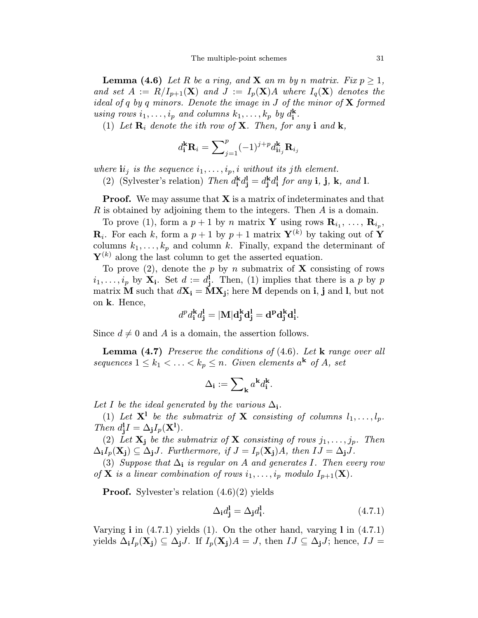**Lemma (4.6)** Let R be a ring, and **X** an m by n matrix. Fix  $p \ge 1$ , and set  $A := R/I_{p+1}(\mathbf{X})$  and  $J := I_p(\mathbf{X})A$  where  $I_q(\mathbf{X})$  denotes the ideal of q by q minors. Denote the image in  $J$  of the minor of  $X$  formed using rows  $i_1, \ldots, i_p$  and columns  $k_1, \ldots, k_p$  by  $d_i^k$ .

(1) Let  $\mathbf{R}_i$  denote the ith row of **X**. Then, for any i and **k**,

$$
d_{\mathbf{i}}^{\mathbf{k}} \mathbf{R}_i = \sum\nolimits_{j=1}^p (-1)^{j+p} d_{\mathbf{i}i_j}^{\mathbf{k}} \mathbf{R}_{i_j}
$$

where  $\mathbf{i}_{i_j}$  is the sequence  $i_1,\ldots,i_p,i$  without its jth element.

(2) (Sylvester's relation) Then  $d_i^{\bf k} d_j^{\bf l} = d_j^{\bf k} d_i^{\bf l}$  for any **i**, **j**, **k**, and **l**.

**Proof.** We may assume that  $X$  is a matrix of indeterminates and that R is obtained by adjoining them to the integers. Then A is a domain.

To prove (1), form a  $p+1$  by n matrix Y using rows  $\mathbf{R}_{i_1}, \ldots, \mathbf{R}_{i_n}$ ,  $\mathbf{R}_i$ . For each k, form a  $p+1$  by  $p+1$  matrix  $\mathbf{Y}^{(k)}$  by taking out of Y columns  $k_1, \ldots, k_p$  and column k. Finally, expand the determinant of  $\mathbf{Y}^{(k)}$  along the last column to get the asserted equation.

To prove  $(2)$ , denote the p by n submatrix of **X** consisting of rows  $i_1,\ldots,i_p$  by  $\mathbf{X_i}$ . Set  $d := d_j^{\mathbf{l}}$ . Then, (1) implies that there is a p by p matrix **M** such that  $d\mathbf{X}_i = \mathbf{M}\mathbf{X}_i$ ; here **M** depends on **i**, **j** and **l**, but not on k. Hence,

$$
d^p d_{\mathbf{i}}^{\mathbf{k}} d_{\mathbf{j}}^{\mathbf{l}} = |\mathbf{M}| \mathbf{d}_{\mathbf{j}}^{\mathbf{k}} \mathbf{d}_{\mathbf{j}}^{\mathbf{l}} = \mathbf{d}^{\mathbf{p}} \mathbf{d}_{\mathbf{j}}^{\mathbf{k}} \mathbf{d}_{\mathbf{i}}^{\mathbf{l}}.
$$

Since  $d \neq 0$  and A is a domain, the assertion follows.

**Lemma (4.7)** Preserve the conditions of  $(4.6)$ . Let **k** range over all sequences  $1 \leq k_1 < \ldots < k_p \leq n$ . Given elements  $a^k$  of A, set

$$
\Delta_{\bf i}:=\sum\nolimits_{\bf k} a^{\bf k} d^{\bf k}_{\bf i}.
$$

Let I be the ideal generated by the various  $\Delta_i$ .

(1) Let  $X^1$  be the submatrix of X consisting of columns  $l_1,\ldots,l_p$ . Then  $d_j^{\mathbf{l}}I = \Delta_j I_p(\mathbf{X}^{\mathbf{l}})$ .

(2) Let  $X_j$  be the submatrix of X consisting of rows  $j_1, \ldots, j_p$ . Then  $\Delta_i I_p(\mathbf{X}_i) \subseteq \Delta_j J$ . Furthermore, if  $J = I_p(\mathbf{X}_i)A$ , then  $IJ = \Delta_j J$ .

(3) Suppose that  $\Delta_i$  is regular on A and generates I. Then every row of **X** is a linear combination of rows  $i_1, \ldots, i_p$  modulo  $I_{p+1}(\mathbf{X})$ .

Proof. Sylvester's relation (4.6)(2) yields

$$
\Delta_{\mathbf{i}} d_{\mathbf{j}}^{\mathbf{l}} = \Delta_{\mathbf{j}} d_{\mathbf{i}}^{\mathbf{l}}.\tag{4.7.1}
$$

Varying  $\mathbf i$  in (4.7.1) yields (1). On the other hand, varying  $\mathbf l$  in (4.7.1) yields  $\Delta_i I_p(\mathbf{X}_i) \subseteq \Delta_j J$ . If  $I_p(\mathbf{X}_i)A = J$ , then  $IJ \subseteq \Delta_j J$ ; hence,  $IJ =$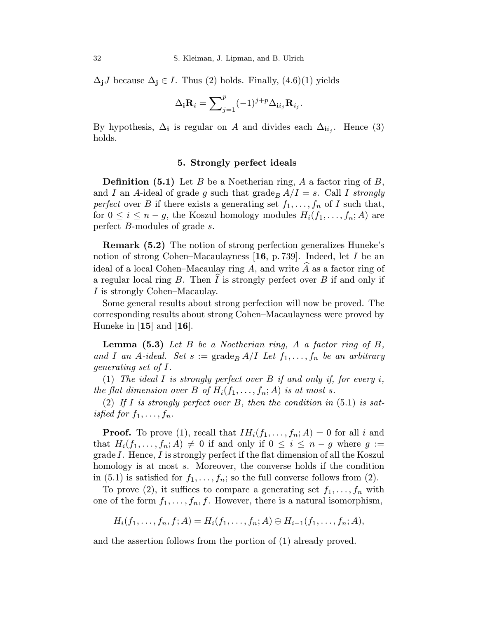$\Delta_j J$  because  $\Delta_j \in I$ . Thus (2) holds. Finally, (4.6)(1) yields

$$
\Delta_{\bf i}{\bf R}_i=\sum\nolimits_{j=1}^p(-1)^{j+p}\Delta_{{\bf i} i_j}{\bf R}_{i_j}.
$$

By hypothesis,  $\Delta_i$  is regular on A and divides each  $\Delta_{i i_j}$ . Hence (3) holds.

### 5. Strongly perfect ideals

**Definition** (5.1) Let B be a Noetherian ring, A a factor ring of B, and I an A-ideal of grade g such that  $\text{grade}_B A/I = s$ . Call I strongly perfect over B if there exists a generating set  $f_1, \ldots, f_n$  of I such that, for  $0 \leq i \leq n-g$ , the Koszul homology modules  $H_i(f_1,\ldots,f_n;A)$  are perfect B-modules of grade s.

Remark (5.2) The notion of strong perfection generalizes Huneke's notion of strong Cohen–Macaulayness [16, p. 739]. Indeed, let I be an ideal of a local Cohen–Macaulay ring A, and write  $\hat{A}$  as a factor ring of a regular local ring  $B$ . Then  $I$  is strongly perfect over  $B$  if and only if I is strongly Cohen–Macaulay.

Some general results about strong perfection will now be proved. The corresponding results about strong Cohen–Macaulayness were proved by Huneke in  $[15]$  and  $[16]$ .

**Lemma** (5.3) Let B be a Noetherian ring, A a factor ring of B, and I an A-ideal. Set  $s := \text{grade}_B A/I$  Let  $f_1, \ldots, f_n$  be an arbitrary generating set of I.

(1) The ideal I is strongly perfect over B if and only if, for every i, the flat dimension over B of  $H_i(f_1,\ldots,f_n;A)$  is at most s.

(2) If I is strongly perfect over B, then the condition in  $(5.1)$  is satisfied for  $f_1,\ldots,f_n$ .

**Proof.** To prove (1), recall that  $IH_i(f_1,\ldots,f_n;A)=0$  for all i and that  $H_i(f_1,\ldots,f_n;A) \neq 0$  if and only if  $0 \leq i \leq n-g$  where  $g :=$ grade I. Hence, I is strongly perfect if the flat dimension of all the Koszul homology is at most s. Moreover, the converse holds if the condition in (5.1) is satisfied for  $f_1, \ldots, f_n$ ; so the full converse follows from (2).

To prove (2), it suffices to compare a generating set  $f_1, \ldots, f_n$  with one of the form  $f_1, \ldots, f_n, f$ . However, there is a natural isomorphism,

$$
H_i(f_1,\ldots,f_n,f;A) = H_i(f_1,\ldots,f_n;A) \oplus H_{i-1}(f_1,\ldots,f_n;A),
$$

and the assertion follows from the portion of (1) already proved.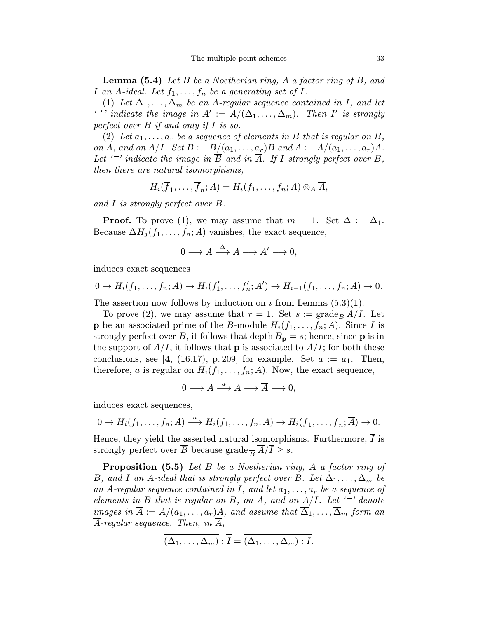**Lemma (5.4)** Let B be a Noetherian ring, A a factor ring of B, and I an A-ideal. Let  $f_1, \ldots, f_n$  be a generating set of I.

(1) Let  $\Delta_1,\ldots,\Delta_m$  be an A-regular sequence contained in I, and let ''' indicate the image in  $A' := A/(\Delta_1,\ldots,\Delta_m)$ . Then I' is strongly perfect over  $B$  if and only if  $I$  is so.

(2) Let  $a_1, \ldots, a_r$  be a sequence of elements in B that is regular on B, on  $\overline{A}$ , and on  $A/I$ . Set  $\overline{B} := B/(a_1,\ldots,a_r)B$  and  $\overline{A} := A/(a_1,\ldots,a_r)A$ . Let  $\cdot$  indicate the image in  $\overline{B}$  and in  $\overline{A}$ . If I strongly perfect over B, then there are natural isomorphisms,

$$
H_i(\overline{f}_1,\ldots,\overline{f}_n;A)=H_i(f_1,\ldots,f_n;A)\otimes_A \overline{A},
$$

and  $\overline{I}$  is strongly perfect over  $\overline{B}$ .

**Proof.** To prove (1), we may assume that  $m = 1$ . Set  $\Delta := \Delta_1$ . Because  $\Delta H_i(f_1,\ldots,f_n;A)$  vanishes, the exact sequence,

$$
0 \longrightarrow A \stackrel{\Delta}{\longrightarrow} A \longrightarrow A' \longrightarrow 0,
$$

induces exact sequences

$$
0 \to H_i(f_1, \ldots, f_n; A) \to H_i(f'_1, \ldots, f'_n; A') \to H_{i-1}(f_1, \ldots, f_n; A) \to 0.
$$

The assertion now follows by induction on i from Lemma  $(5.3)(1)$ .

To prove (2), we may assume that  $r = 1$ . Set  $s := \text{grade}_B A/I$ . Let **p** be an associated prime of the B-module  $H_i(f_1,\ldots,f_n;A)$ . Since I is strongly perfect over B, it follows that depth  $B_p = s$ ; hence, since **p** is in the support of  $A/I$ , it follows that **p** is associated to  $A/I$ ; for both these conclusions, see [4, (16.17), p. 209] for example. Set  $a := a_1$ . Then, therefore, a is regular on  $H_i(f_1,\ldots,f_n;A)$ . Now, the exact sequence,

$$
0 \longrightarrow A \stackrel{a}{\longrightarrow} A \longrightarrow \overline{A} \longrightarrow 0,
$$

induces exact sequences,

$$
0 \to H_i(f_1,\ldots,f_n;A) \stackrel{a}{\longrightarrow} H_i(f_1,\ldots,f_n;A) \to H_i(\overline{f}_1,\ldots,\overline{f}_n;\overline{A}) \to 0.
$$

Hence, they yield the asserted natural isomorphisms. Furthermore,  $\overline{I}$  is strongly perfect over  $\overline{B}$  because grade  $\overline{A}/\overline{I} \geq s$ .

Proposition (5.5) Let B be a Noetherian ring, A a factor ring of B, and I an A-ideal that is strongly perfect over B. Let  $\Delta_1,\ldots,\Delta_m$  be an A-regular sequence contained in I, and let  $a_1, \ldots, a_r$  be a sequence of elements in B that is regular on B, on A, and on  $A/I$ . Let  $\lq\neg$  denote images in  $\overline{A} := A/(a_1,\ldots,a_r)A$ , and assume that  $\overline{\Delta}_1,\ldots,\overline{\Delta}_m$  form an A-regular sequence. Then, in A,

$$
\overline{(\Delta_1,\ldots,\Delta_m)}:\overline{I}=\overline{(\Delta_1,\ldots,\Delta_m):I}.
$$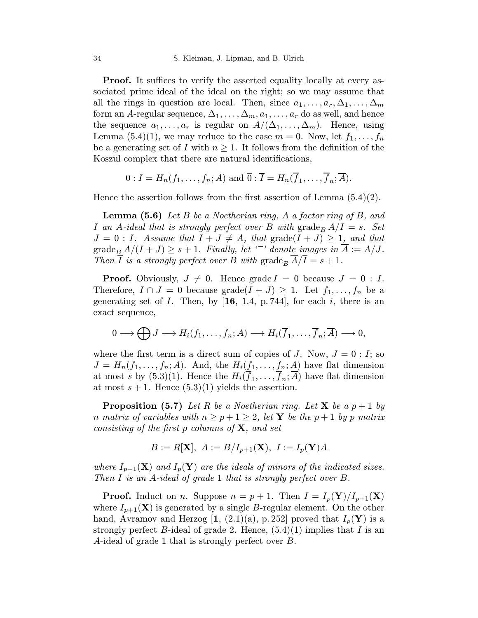**Proof.** It suffices to verify the asserted equality locally at every associated prime ideal of the ideal on the right; so we may assume that all the rings in question are local. Then, since  $a_1, \ldots, a_r, \Delta_1, \ldots, \Delta_m$ form an A-regular sequence,  $\Delta_1,\ldots,\Delta_m,a_1,\ldots,a_r$  do as well, and hence the sequence  $a_1, \ldots, a_r$  is regular on  $A/(\Delta_1, \ldots, \Delta_m)$ . Hence, using Lemma (5.4)(1), we may reduce to the case  $m = 0$ . Now, let  $f_1, \ldots, f_n$ be a generating set of I with  $n \geq 1$ . It follows from the definition of the Koszul complex that there are natural identifications,

$$
0: I = H_n(f_1, \ldots, f_n; A) \text{ and } \overline{0}: \overline{I} = H_n(\overline{f}_1, \ldots, \overline{f}_n; \overline{A}).
$$

Hence the assertion follows from the first assertion of Lemma  $(5.4)(2)$ .

**Lemma (5.6)** Let B be a Noetherian ring, A a factor ring of B, and I an A-ideal that is strongly perfect over B with grade<sub>B</sub>  $A/I = s$ . Set  $J = 0: I$ . Assume that  $I + J \neq A$ , that grade $(I + J) \geq 1$ , and that  $\operatorname{grade}_BA/(I+J) \geq s+1$ . Finally, let  $\overline{\phantom{a}}$  denote images in  $\overline{A} := A/J$ . Then  $\overline{I}$  is a strongly perfect over B with grade<sub>B</sub>  $\overline{A}/\overline{I} = s + 1$ .

**Proof.** Obviously,  $J \neq 0$ . Hence grade  $I = 0$  because  $J = 0$ : I. Therefore,  $I \cap J = 0$  because grade $(I + J) \geq 1$ . Let  $f_1, \ldots, f_n$  be a generating set of  $I$ . Then, by  $[16, 1.4, p. 744]$ , for each  $i$ , there is an exact sequence,

$$
0 \longrightarrow \bigoplus J \longrightarrow H_i(f_1,\ldots,f_n;A) \longrightarrow H_i(\overline{f}_1,\ldots,\overline{f}_n;\overline{A}) \longrightarrow 0,
$$

where the first term is a direct sum of copies of J. Now,  $J = 0: I$ ; so  $J = H_n(f_1,\ldots,f_n;A)$ . And, the  $H_i(f_1,\ldots,f_n;A)$  have flat dimension at most s by  $(5.3)(1)$ . Hence the  $H_i(f_1,\ldots,f_n;\overline{A})$  have flat dimension at most  $s + 1$ . Hence  $(5.3)(1)$  yields the assertion.

**Proposition (5.7)** Let R be a Noetherian ring. Let X be a  $p + 1$  by n matrix of variables with  $n \geq p+1 \geq 2$ , let **Y** be the  $p+1$  by p matrix consisting of the first  $p$  columns of  $X$ , and set

$$
B:=R[{\bf X}],\,\,A:=B/I_{p+1}({\bf X}),\,\,I:=I_p({\bf Y})A
$$

where  $I_{p+1}(\mathbf{X})$  and  $I_p(\mathbf{Y})$  are the ideals of minors of the indicated sizes. Then I is an A-ideal of grade 1 that is strongly perfect over B.

**Proof.** Induct on *n*. Suppose  $n = p + 1$ . Then  $I = I_p(\mathbf{Y})/I_{p+1}(\mathbf{X})$ where  $I_{p+1}(\mathbf{X})$  is generated by a single B-regular element. On the other hand, Avramov and Herzog [1, (2.1)(a), p. 252] proved that  $I_p(\mathbf{Y})$  is a strongly perfect B-ideal of grade 2. Hence,  $(5.4)(1)$  implies that I is an A-ideal of grade 1 that is strongly perfect over B.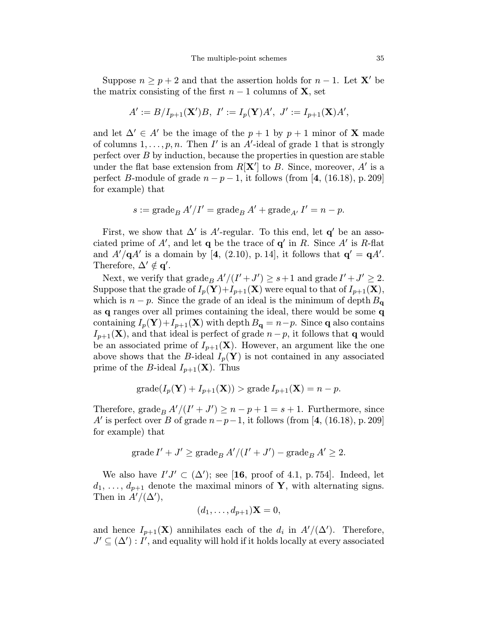Suppose  $n \geq p+2$  and that the assertion holds for  $n-1$ . Let **X'** be the matrix consisting of the first  $n-1$  columns of **X**, set

$$
A' := B/I_{p+1}(\mathbf{X}')B, I' := I_p(\mathbf{Y})A', J' := I_{p+1}(\mathbf{X})A',
$$

and let  $\Delta' \in A'$  be the image of the  $p + 1$  by  $p + 1$  minor of **X** made of columns  $1, \ldots, p, n$ . Then I' is an A'-ideal of grade 1 that is strongly perfect over  $B$  by induction, because the properties in question are stable under the flat base extension from  $R[X']$  to B. Since, moreover, A' is a perfect B-module of grade  $n-p-1$ , it follows (from [4, (16.18), p. 209] for example) that

$$
s := \operatorname{grade}_B A'/I' = \operatorname{grade}_B A' + \operatorname{grade}_{A'} I' = n - p.
$$

First, we show that  $\Delta'$  is A'-regular. To this end, let  $\mathbf{q}'$  be an associated prime of A', and let **q** be the trace of  $q'$  in R. Since A' is R-flat and  $A'/qA'$  is a domain by [4, (2.10), p. 14], it follows that  $q' = qA'.$ Therefore,  $\Delta' \notin \mathbf{q}'$ .

Next, we verify that  $\operatorname{grade}_BA'/(I'+J') \geq s+1$  and  $\operatorname{grade} I'+J' \geq 2$ . Suppose that the grade of  $I_p(\mathbf{Y})+I_{p+1}(\mathbf{X})$  were equal to that of  $I_{p+1}(\mathbf{X}),$ which is  $n - p$ . Since the grade of an ideal is the minimum of depth  $B_{\alpha}$ as q ranges over all primes containing the ideal, there would be some q containing  $I_p(\mathbf{Y})+I_{p+1}(\mathbf{X})$  with depth  $B_q = n-p$ . Since q also contains  $I_{p+1}(\mathbf{X})$ , and that ideal is perfect of grade  $n-p$ , it follows that q would be an associated prime of  $I_{p+1}(\mathbf{X})$ . However, an argument like the one above shows that the B-ideal  $I_p(\mathbf{Y})$  is not contained in any associated prime of the B-ideal  $I_{p+1}(\mathbf{X})$ . Thus

$$
\operatorname{grade} (I_p(\mathbf{Y}) + I_{p+1}(\mathbf{X})) > \operatorname{grade} I_{p+1}(\mathbf{X}) = n-p.
$$

Therefore,  $\operatorname{grade}_BA'/(I'+J') \geq n-p+1=s+1$ . Furthermore, since A' is perfect over B of grade  $n-p-1$ , it follows (from [4, (16.18), p. 209] for example) that

$$
grade I' + J' \geq \operatorname{grade}_B A'/(I' + J') - \operatorname{grade}_B A' \geq 2.
$$

We also have  $I'J' \subset (\Delta')$ ; see [16, proof of 4.1, p. 754]. Indeed, let  $d_1, \ldots, d_{p+1}$  denote the maximal minors of Y, with alternating signs. Then in  $A'/(\Delta')$ ,

$$
(d_1,\ldots,d_{p+1}){\bf X}=0,
$$

and hence  $I_{p+1}(\mathbf{X})$  annihilates each of the  $d_i$  in  $A'/(\Delta')$ . Therefore,  $J' \subseteq (\Delta') : I'$ , and equality will hold if it holds locally at every associated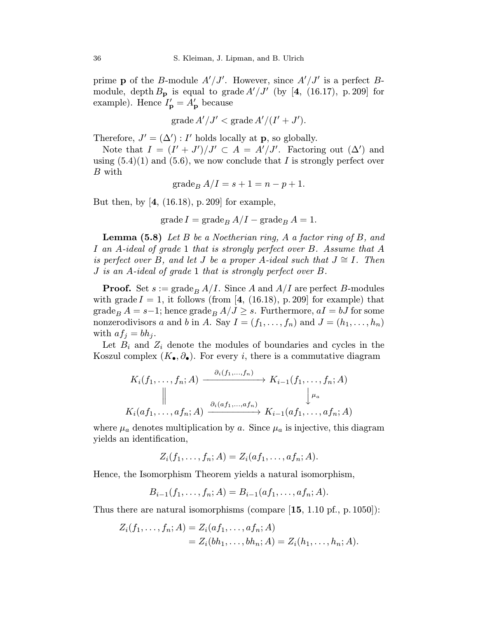prime **p** of the B-module  $A'/J'$ . However, since  $A'/J'$  is a perfect Bmodule, depth  $B_{\mathbf{p}}$  is equal to grade  $A'/J'$  (by [4, (16.17), p. 209] for example). Hence  $I'_{\mathbf{p}} = A'_{\mathbf{p}}$  because

$$
\operatorname{grade} A'/J' < \operatorname{grade} A'/(I'+J').
$$

Therefore,  $J' = (\Delta') : I'$  holds locally at **p**, so globally.

Note that  $I = (I' + J')/J' \subset A = A'/J'$ . Factoring out  $(\Delta')$  and using  $(5.4)(1)$  and  $(5.6)$ , we now conclude that I is strongly perfect over B with

$$
\operatorname{grade}_B A/I = s + 1 = n - p + 1.
$$

But then, by  $[4, (16.18), p. 209]$  for example,

$$
grade I = grade_B A/I - grade_B A = 1.
$$

**Lemma (5.8)** Let B be a Noetherian ring, A a factor ring of B, and I an A-ideal of grade 1 that is strongly perfect over B. Assume that A is perfect over B, and let J be a proper A-ideal such that  $J \cong I$ . Then J is an A-ideal of grade 1 that is strongly perfect over B.

**Proof.** Set  $s := \text{grade}_B A/I$ . Since A and  $A/I$  are perfect B-modules with grade  $I = 1$ , it follows (from [4, (16.18), p. 209] for example) that  $\text{grade}_B A = s-1$ ; hence  $\text{grade}_B A/J \geq s$ . Furthermore,  $aI = bJ$  for some nonzerodivisors a and b in A. Say  $I = (f_1, \ldots, f_n)$  and  $J = (h_1, \ldots, h_n)$ with  $af_j = bh_j$ .

Let  $B_i$  and  $Z_i$  denote the modules of boundaries and cycles in the Koszul complex  $(K_{\bullet}, \partial_{\bullet})$ . For every *i*, there is a commutative diagram

$$
K_i(f_1, \ldots, f_n; A) \xrightarrow{\partial_i(f_1, \ldots, f_n)} K_{i-1}(f_1, \ldots, f_n; A)
$$
  
\n
$$
\parallel \qquad \qquad \downarrow \mu_a
$$
  
\n
$$
K_i(af_1, \ldots, af_n; A) \xrightarrow{\partial_i(af_1, \ldots, af_n)} K_{i-1}(af_1, \ldots, af_n; A)
$$

where  $\mu_a$  denotes multiplication by a. Since  $\mu_a$  is injective, this diagram yields an identification,

$$
Z_i(f_1,\ldots,f_n;A)=Z_i(af_1,\ldots,af_n;A).
$$

Hence, the Isomorphism Theorem yields a natural isomorphism,

$$
B_{i-1}(f_1,\ldots,f_n;A)=B_{i-1}(af_1,\ldots,af_n;A).
$$

Thus there are natural isomorphisms (compare [15, 1.10 pf., p. 1050]):

$$
Z_i(f_1, ..., f_n; A) = Z_i(af_1, ..., af_n; A)
$$
  
=  $Z_i(bh_1, ..., bh_n; A) = Z_i(h_1, ..., h_n; A).$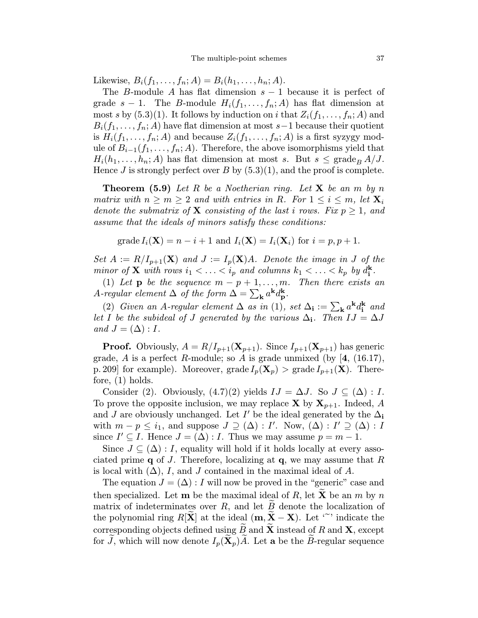Likewise,  $B_i(f_1,...,f_n; A) = B_i(h_1,...,h_n; A)$ .

The B-module A has flat dimension  $s - 1$  because it is perfect of grade  $s - 1$ . The B-module  $H_i(f_1, \ldots, f_n; A)$  has flat dimension at most s by  $(5.3)(1)$ . It follows by induction on i that  $Z_i(f_1,\ldots,f_n;A)$  and  $B_i(f_1,\ldots,f_n;A)$  have flat dimension at most s−1 because their quotient is  $H_i(f_1,\ldots,f_n;A)$  and because  $Z_i(f_1,\ldots,f_n;A)$  is a first syzygy module of  $B_{i-1}(f_1,\ldots,f_n;A)$ . Therefore, the above isomorphisms yield that  $H_i(h_1,\ldots,h_n;A)$  has flat dimension at most s. But  $s \leq \text{grade}_B A/J$ . Hence J is strongly perfect over B by  $(5.3)(1)$ , and the proof is complete.

**Theorem (5.9)** Let R be a Noetherian ring. Let X be an m by n matrix with  $n \geq m \geq 2$  and with entries in R. For  $1 \leq i \leq m$ , let  $\mathbf{X}_i$ denote the submatrix of **X** consisting of the last i rows. Fix  $p \geq 1$ , and assume that the ideals of minors satisfy these conditions:

grade  $I_i(\mathbf{X}) = n - i + 1$  and  $I_i(\mathbf{X}) = I_i(\mathbf{X}_i)$  for  $i = p, p + 1$ .

Set  $A := R/I_{p+1}(\mathbf{X})$  and  $J := I_p(\mathbf{X})A$ . Denote the image in J of the minor of **X** with rows  $i_1 < \ldots < i_p$  and columns  $k_1 < \ldots < k_p$  by  $d_i^k$ .

(1) Let **p** be the sequence  $m - p + 1, \ldots, m$ . Then there exists an A-regular element  $\Delta$  of the form  $\Delta = \sum_{\mathbf{k}} a^{\mathbf{k}} d_{\mathbf{p}}^{\mathbf{k}}$ .

(2) Given an A-regular element  $\Delta$  as in (1), set  $\Delta_i := \sum_{\mathbf{k}} a^{\mathbf{k}} d_i^{\mathbf{k}}$  and let I be the subideal of J generated by the various  $\Delta_i$ . Then  $IJ = \Delta J$ and  $J = (\Delta) : I$ .

**Proof.** Obviously,  $A = R/I_{p+1}(\mathbf{X}_{p+1})$ . Since  $I_{p+1}(\mathbf{X}_{p+1})$  has generic grade, A is a perfect R-module; so A is grade unmixed (by  $[4, (16.17),$ p. 209] for example). Moreover, grade  $I_p(\mathbf{X}_p) >$  grade  $I_{p+1}(\mathbf{X})$ . Therefore, (1) holds.

Consider (2). Obviously,  $(4.7)(2)$  yields  $IJ = \Delta J$ . So  $J \subseteq (\Delta) : I$ . To prove the opposite inclusion, we may replace **X** by  $X_{p+1}$ . Indeed, A and J are obviously unchanged. Let I' be the ideal generated by the  $\Delta_i$ with  $m - p \leq i_1$ , and suppose  $J \supseteq (\Delta) : I'$ . Now,  $(\Delta) : I' \supseteq (\Delta) : I$ since  $I' \subseteq I$ . Hence  $J = (\Delta) : I$ . Thus we may assume  $p = m - 1$ .

Since  $J \subseteq (\Delta) : I$ , equality will hold if it holds locally at every associated prime  $q$  of J. Therefore, localizing at  $q$ , we may assume that R is local with  $(\Delta)$ , I, and J contained in the maximal ideal of A.

The equation  $J = (\Delta) : I$  will now be proved in the "generic" case and then specialized. Let **m** be the maximal ideal of R, let  $\tilde{\mathbf{X}}$  be an m by n matrix of indeterminates over  $R$ , and let  $B$  denote the localization of the polynomial ring R[X] at the ideal  $(m, X - X)$ . Let '<sup>o</sup>' indicate the corresponding objects defined using  $B$  and  $X$  instead of R and  $X$ , except for J, which will now denote  $I_p(\mathbf{X}_p)A$ . Let a be the B-regular sequence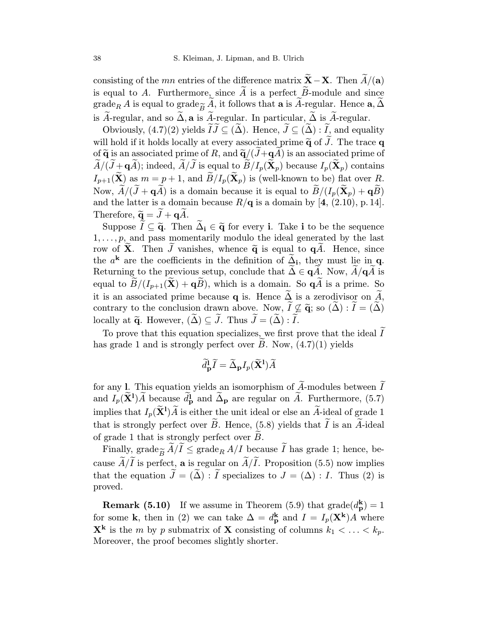consisting of the mn entries of the difference matrix  $\tilde{\mathbf{X}} - \mathbf{X}$ . Then  $\tilde{A}/(a)$ is equal to A. Furthermore, since  $\widetilde{A}$  is a perfect  $\widetilde{B}$ -module and since grade<sub>R</sub> A is equal to grade<sub>R</sub> A, it follows that **a** is A-regular. Hence **a**,  $\Delta$ is A-regular, and so  $\tilde{\Delta}$ , a is A-regular. In particular,  $\tilde{\Delta}$  is A-regular.

Obviously,  $(4.7)(2)$  yields  $IJ \subseteq (\Delta)$ . Hence,  $J \subseteq (\Delta) : I$ , and equality will hold if it holds locally at every associated prime  $\tilde{\mathbf{q}}$  of J. The trace  $\mathbf{q}$ of  $\widetilde{\mathbf{q}}$  is an associated prime of R, and  $\widetilde{\mathbf{q}}/(J+\mathbf{q}A)$  is an associated prime of  $A/(J + \mathbf{q}A)$ ; indeed,  $A/J$  is equal to  $B/I_p(\mathbf{X}_p)$  because  $I_p(\mathbf{X}_p)$  contains  $I_{p+1}(\widetilde{\mathbf{X}})$  as  $m = p+1$ , and  $\widetilde{B}/I_p(\widetilde{\mathbf{X}}_p)$  is (well-known to be) flat over R. Now,  $A/(J + \mathbf{q}A)$  is a domain because it is equal to  $B/(I_p(\mathbf{X}_p) + \mathbf{q}B)$ and the latter is a domain because  $R/\mathbf{q}$  is a domain by [4, (2.10), p. 14]. Therefore,  $\widetilde{\mathbf{q}} = J + \mathbf{q}A$ .

Suppose  $I \subseteq \widetilde{q}$ . Then  $\Delta_i \in \widetilde{q}$  for every i. Take i to be the sequence  $1, \ldots, p$ , and pass momentarily modulo the ideal generated by the last row of **X**. Then J vanishes, whence  $\tilde{q}$  is equal to  $qA$ . Hence, since the  $a^k$  are the coefficients in the definition of  $\Delta_i$ , they must lie in q. Returning to the previous setup, conclude that  $\Delta \in \mathbf{q}A$ . Now,  $A/\mathbf{q}A$  is equal to  $\widetilde{B}/(I_{p+1}(\widetilde{\mathbf{X}})+\mathbf{q}\widetilde{B})$ , which is a domain. So  $\mathbf{q}\widetilde{A}$  is a prime. So it is an associated prime because **q** is. Hence  $\overrightarrow{\Delta}$  is a zerodivisor on  $\overrightarrow{A}$ , contrary to the conclusion drawn above. Now,  $I \nsubseteq \widetilde{\mathbf{q}}$ ; so  $(\Delta) : I = (\Delta)$ locally at  $\widetilde{\mathbf{q}}$ . However,  $(\Delta) \subseteq J$ . Thus  $J = (\Delta) : I$ .

To prove that this equation specializes, we first prove that the ideal  $I$ has grade 1 and is strongly perfect over  $B$ . Now,  $(4.7)(1)$  yields

$$
\widetilde{d}_{\mathbf{p}}^{\mathbf{1}} \widetilde{I} = \widetilde{\Delta}_{\mathbf{p}} I_p(\widetilde{\mathbf{X}}^{\mathbf{1}}) \widetilde{A}
$$

for any 1. This equation yields an isomorphism of A-modules between I and  $I_p(\tilde{\mathbf{X}}^1)\tilde{A}$  because  $d_p^1$  and  $\tilde{\Delta}_p$  are regular on  $\tilde{A}$ . Furthermore, (5.7) implies that  $I_p(\mathbf{X}^I)\tilde{A}$  is either the unit ideal or else an  $\tilde{A}$ -ideal of grade 1 that is strongly perfect over  $B$ . Hence,  $(5.8)$  yields that  $I$  is an A-ideal of grade 1 that is strongly perfect over  $B$ .

Finally, grade  $\tilde{A}/I \leq$  grade  $R A/I$  because I has grade 1; hence, be-<br>use  $\tilde{A}/\tilde{I}$  is negated as is regular on  $\tilde{A}/\tilde{I}$ . Proposition (5.5) now implies cause  $A/I$  is perfect, **a** is regular on  $A/I$ . Proposition (5.5) now implies that the equation  $J = (\Delta) : I$  specializes to  $J = (\Delta) : I$ . Thus (2) is proved.

**Remark (5.10)** If we assume in Theorem (5.9) that  $\text{grade}(d_{\mathbf{p}}^{\mathbf{k}})=1$ for some k, then in (2) we can take  $\Delta = d_{\mathbf{p}}^{\mathbf{k}}$  and  $I = I_p(\mathbf{X}^{\mathbf{k}})A$  where  $\mathbf{X}^{\mathbf{k}}$  is the *m* by *p* submatrix of **X** consisting of columns  $k_1 < \ldots < k_p$ . Moreover, the proof becomes slightly shorter.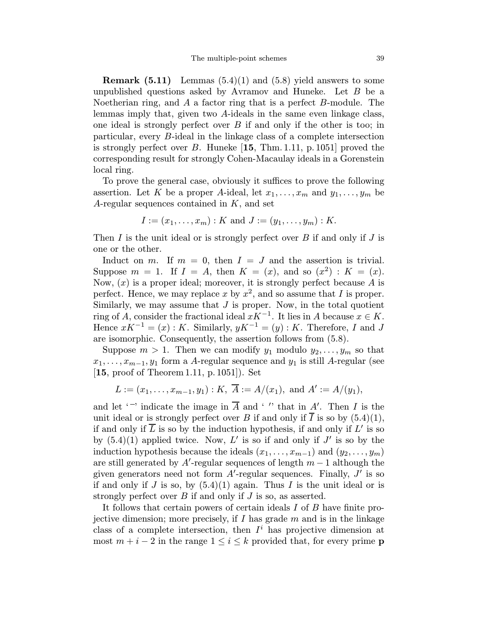**Remark (5.11)** Lemmas  $(5.4)(1)$  and  $(5.8)$  yield answers to some unpublished questions asked by Avramov and Huneke. Let  $B$  be a Noetherian ring, and A a factor ring that is a perfect B-module. The lemmas imply that, given two A-ideals in the same even linkage class, one ideal is strongly perfect over  $B$  if and only if the other is too; in particular, every B-ideal in the linkage class of a complete intersection is strongly perfect over B. Huneke [15, Thm.1.11, p. 1051] proved the corresponding result for strongly Cohen-Macaulay ideals in a Gorenstein local ring.

To prove the general case, obviously it suffices to prove the following assertion. Let K be a proper A-ideal, let  $x_1, \ldots, x_m$  and  $y_1, \ldots, y_m$  be A-regular sequences contained in  $K$ , and set

$$
I := (x_1, \ldots, x_m) : K
$$
 and  $J := (y_1, \ldots, y_m) : K$ .

Then I is the unit ideal or is strongly perfect over B if and only if J is one or the other.

Induct on m. If  $m = 0$ , then  $I = J$  and the assertion is trivial. Suppose  $m = 1$ . If  $I = A$ , then  $K = (x)$ , and so  $(x^2) : K = (x)$ . Now,  $(x)$  is a proper ideal; moreover, it is strongly perfect because A is perfect. Hence, we may replace x by  $x^2$ , and so assume that I is proper. Similarly, we may assume that  $J$  is proper. Now, in the total quotient ring of A, consider the fractional ideal  $xK^{-1}$ . It lies in A because  $x \in K$ . Hence  $xK^{-1} = (x) : K$ . Similarly,  $yK^{-1} = (y) : K$ . Therefore, I and J are isomorphic. Consequently, the assertion follows from (5.8).

Suppose  $m > 1$ . Then we can modify  $y_1$  modulo  $y_2, \ldots, y_m$  so that  $x_1, \ldots, x_{m-1}, y_1$  form a A-regular sequence and  $y_1$  is still A-regular (see [15, proof of Theorem 1.11, p. 1051]). Set

$$
L := (x_1, \ldots, x_{m-1}, y_1) : K, \ \overline{A} := A/(x_1), \text{ and } A' := A/(y_1),
$$

and let  $\cdot$   $\cdot$  indicate the image in A and  $\cdot$   $\cdot$  that in A'. Then I is the unit ideal or is strongly perfect over B if and only if  $\overline{I}$  is so by (5.4)(1), if and only if  $\overline{L}$  is so by the induction hypothesis, if and only if  $L'$  is so by  $(5.4)(1)$  applied twice. Now, L' is so if and only if J' is so by the induction hypothesis because the ideals  $(x_1, \ldots, x_{m-1})$  and  $(y_2, \ldots, y_m)$ are still generated by A'-regular sequences of length  $m-1$  although the given generators need not form  $A'$ -regular sequences. Finally,  $J'$  is so if and only if J is so, by  $(5.4)(1)$  again. Thus I is the unit ideal or is strongly perfect over  $B$  if and only if  $J$  is so, as asserted.

It follows that certain powers of certain ideals I of B have finite projective dimension; more precisely, if  $I$  has grade  $m$  and is in the linkage class of a complete intersection, then  $I^i$  has projective dimension at most  $m + i - 2$  in the range  $1 \le i \le k$  provided that, for every prime p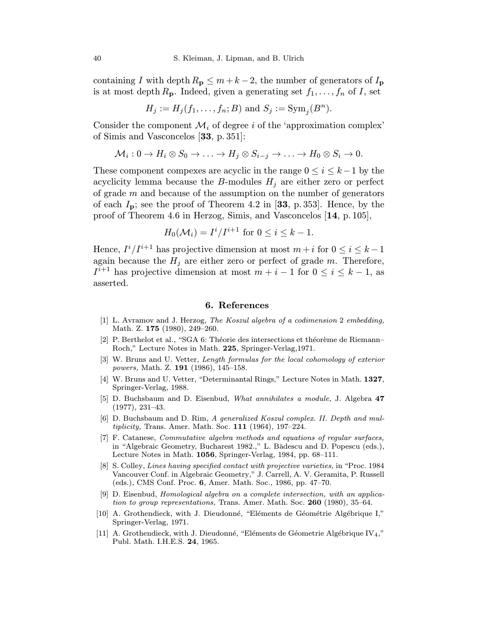containing I with depth  $R_p \leq m + k - 2$ , the number of generators of  $I_p$ is at most depth  $R_p$ . Indeed, given a generating set  $f_1, \ldots, f_n$  of I, set

$$
H_j := H_j(f_1, ..., f_n; B)
$$
 and  $S_j := \text{Sym}_j(B^n)$ .

Consider the component  $\mathcal{M}_i$  of degree i of the 'approximation complex' of Simis and Vasconcelos [33, p. 351]:

$$
\mathcal{M}_i: 0 \to H_i \otimes S_0 \to \ldots \to H_j \otimes S_{i-j} \to \ldots \to H_0 \otimes S_i \to 0.
$$

These component compexes are acyclic in the range  $0 \leq i \leq k-1$  by the acyclicity lemma because the B-modules  $H_i$  are either zero or perfect of grade m and because of the assumption on the number of generators of each  $I_p$ ; see the proof of Theorem 4.2 in [33, p. 353]. Hence, by the proof of Theorem 4.6 in Herzog, Simis, and Vasconcelos [14, p. 105],

$$
H_0(\mathcal{M}_i) = I^i/I^{i+1} \text{ for } 0 \le i \le k-1.
$$

Hence,  $I^{i}/I^{i+1}$  has projective dimension at most  $m+i$  for  $0 \leq i \leq k-1$ again because the  $H_j$  are either zero or perfect of grade m. Therefore,  $I^{i+1}$  has projective dimension at most  $m + i - 1$  for  $0 \leq i \leq k - 1$ , as asserted.

### 6. References

- [1] L. Avramov and J. Herzog, The Koszul algebra of a codimension 2 embedding, Math. Z. 175 (1980), 249–260.
- [2] P. Berthelot et al., "SGA 6: Théorie des intersections et théorème de Riemann– Roch," Lecture Notes in Math. 225, Springer-Verlag,1971.
- [3] W. Bruns and U. Vetter, Length formulas for the local cohomology of exterior powers, Math. Z. 191 (1986), 145–158.
- [4] W. Bruns and U. Vetter, "Determinantal Rings," Lecture Notes in Math. 1327, Springer-Verlag, 1988.
- [5] D. Buchsbaum and D. Eisenbud, What annihilates a module, J. Algebra 47 (1977), 231–43.
- [6] D. Buchsbaum and D. Rim, A generalized Koszul complex. II. Depth and multiplicity, Trans. Amer. Math. Soc. 111 (1964), 197–224.
- [7] F. Catanese, Commutative algebra methods and equations of regular surfaces, in "Algebraic Geometry, Bucharest 1982.," L. Bǎdescu and D. Popescu (eds.), Lecture Notes in Math. 1056, Springer-Verlag, 1984, pp. 68–111.
- [8] S. Colley, Lines having specified contact with projective varieties, in "Proc. 1984 Vancouver Conf. in Algebraic Geometry," J. Carrell, A. V. Geramita, P. Russell (eds.), CMS Conf. Proc. 6, Amer. Math. Soc., 1986, pp. 47–70.
- [9] D. Eisenbud, Homological algebra on a complete intersection, with an application to group representations, Trans. Amer. Math. Soc. 260 (1980), 35–64.
- [10] A. Grothendieck, with J. Dieudonné, "Eléments de Géométrie Algébrique I," Springer-Verlag, 1971.
- [11] A. Grothendieck, with J. Dieudonné, "Eléments de Géometrie Algébrique IV<sub>4</sub>," Publ. Math. I.H.E.S. 24, 1965.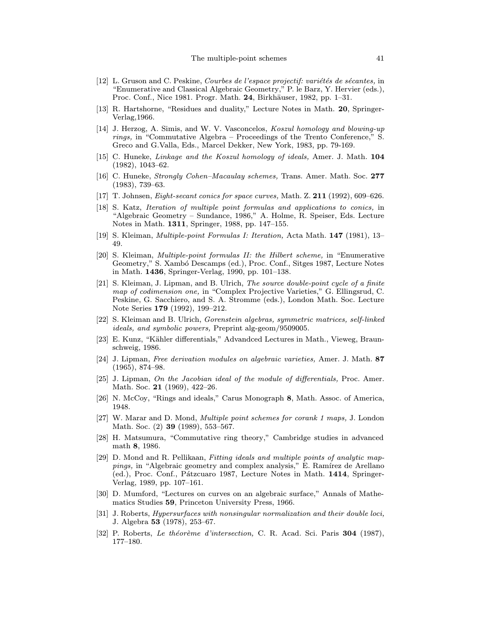- [12] L. Gruson and C. Peskine, Courbes de l'espace projectif: variétés de sécantes, in "Enumerative and Classical Algebraic Geometry," P. le Barz, Y. Hervier (eds.), Proc. Conf., Nice 1981. Progr. Math. 24, Birkhäuser, 1982, pp. 1-31.
- [13] R. Hartshorne, "Residues and duality," Lecture Notes in Math. 20, Springer-Verlag,1966.
- [14] J. Herzog, A. Simis, and W. V. Vasconcelos, Koszul homology and blowing-up rings, in "Commutative Algebra – Proceedings of the Trento Conference," S. Greco and G.Valla, Eds., Marcel Dekker, New York, 1983, pp. 79-169.
- [15] C. Huneke, Linkage and the Koszul homology of ideals, Amer. J. Math. 104 (1982), 1043–62.
- [16] C. Huneke, Strongly Cohen–Macaulay schemes, Trans. Amer. Math. Soc. 277 (1983), 739–63.
- [17] T. Johnsen, Eight-secant conics for space curves, Math. Z. 211 (1992), 609–626.
- [18] S. Katz, Iteration of multiple point formulas and applications to conics, in "Algebraic Geometry – Sundance, 1986," A. Holme, R. Speiser, Eds. Lecture Notes in Math. 1311, Springer, 1988, pp. 147–155.
- [19] S. Kleiman, Multiple-point Formulas I: Iteration, Acta Math. 147 (1981), 13– 49.
- [20] S. Kleiman, Multiple-point formulas II: the Hilbert scheme, in "Enumerative Geometry," S. Xambó Descamps (ed.), Proc. Conf., Sitges 1987, Lecture Notes in Math. 1436, Springer-Verlag, 1990, pp. 101–138.
- [21] S. Kleiman, J. Lipman, and B. Ulrich, The source double-point cycle of a finite map of codimension one, in "Complex Projective Varieties," G. Ellingsrud, C. Peskine, G. Sacchiero, and S. A. Stromme (eds.), London Math. Soc. Lecture Note Series 179 (1992), 199–212.
- [22] S. Kleiman and B. Ulrich, Gorenstein algebras, symmetric matrices, self-linked ideals, and symbolic powers, Preprint alg-geom/9509005.
- [23] E. Kunz, "Kähler differentials," Advandced Lectures in Math., Vieweg, Braunschweig, 1986.
- [24] J. Lipman, Free derivation modules on algebraic varieties, Amer. J. Math. 87 (1965), 874–98.
- [25] J. Lipman, On the Jacobian ideal of the module of differentials, Proc. Amer. Math. Soc. **21** (1969), 422–26.
- [26] N. McCoy, "Rings and ideals," Carus Monograph 8, Math. Assoc. of America, 1948.
- [27] W. Marar and D. Mond, Multiple point schemes for corank 1 maps, J. London Math. Soc. (2) **39** (1989), 553–567.
- [28] H. Matsumura, "Commutative ring theory," Cambridge studies in advanced math 8, 1986.
- [29] D. Mond and R. Pellikaan, Fitting ideals and multiple points of analytic mappings, in "Algebraic geometry and complex analysis," E. Ramírez de Arellano (ed.), Proc. Conf., Pátzcuaro 1987, Lecture Notes in Math. 1414, Springer-Verlag, 1989, pp. 107–161.
- [30] D. Mumford, "Lectures on curves on an algebraic surface," Annals of Mathematics Studies 59, Princeton University Press, 1966.
- [31] J. Roberts, *Hypersurfaces with nonsingular normalization and their double loci*, J. Algebra 53 (1978), 253–67.
- [32] P. Roberts, Le théorème d'intersection, C. R. Acad. Sci. Paris 304 (1987), 177–180.